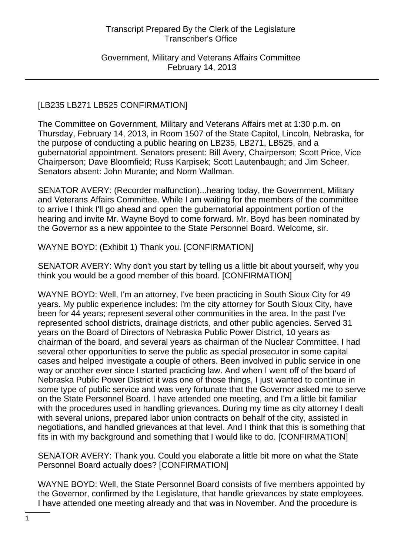Government, Military and Veterans Affairs Committee February 14, 2013

## [LB235 LB271 LB525 CONFIRMATION]

The Committee on Government, Military and Veterans Affairs met at 1:30 p.m. on Thursday, February 14, 2013, in Room 1507 of the State Capitol, Lincoln, Nebraska, for the purpose of conducting a public hearing on LB235, LB271, LB525, and a gubernatorial appointment. Senators present: Bill Avery, Chairperson; Scott Price, Vice Chairperson; Dave Bloomfield; Russ Karpisek; Scott Lautenbaugh; and Jim Scheer. Senators absent: John Murante; and Norm Wallman.

SENATOR AVERY: (Recorder malfunction)...hearing today, the Government, Military and Veterans Affairs Committee. While I am waiting for the members of the committee to arrive I think I'll go ahead and open the gubernatorial appointment portion of the hearing and invite Mr. Wayne Boyd to come forward. Mr. Boyd has been nominated by the Governor as a new appointee to the State Personnel Board. Welcome, sir.

# WAYNE BOYD: (Exhibit 1) Thank you. [CONFIRMATION]

SENATOR AVERY: Why don't you start by telling us a little bit about yourself, why you think you would be a good member of this board. [CONFIRMATION]

WAYNE BOYD: Well, I'm an attorney, I've been practicing in South Sioux City for 49 years. My public experience includes: I'm the city attorney for South Sioux City, have been for 44 years; represent several other communities in the area. In the past I've represented school districts, drainage districts, and other public agencies. Served 31 years on the Board of Directors of Nebraska Public Power District, 10 years as chairman of the board, and several years as chairman of the Nuclear Committee. I had several other opportunities to serve the public as special prosecutor in some capital cases and helped investigate a couple of others. Been involved in public service in one way or another ever since I started practicing law. And when I went off of the board of Nebraska Public Power District it was one of those things, I just wanted to continue in some type of public service and was very fortunate that the Governor asked me to serve on the State Personnel Board. I have attended one meeting, and I'm a little bit familiar with the procedures used in handling grievances. During my time as city attorney I dealt with several unions, prepared labor union contracts on behalf of the city, assisted in negotiations, and handled grievances at that level. And I think that this is something that fits in with my background and something that I would like to do. [CONFIRMATION]

SENATOR AVERY: Thank you. Could you elaborate a little bit more on what the State Personnel Board actually does? [CONFIRMATION]

WAYNE BOYD: Well, the State Personnel Board consists of five members appointed by the Governor, confirmed by the Legislature, that handle grievances by state employees. I have attended one meeting already and that was in November. And the procedure is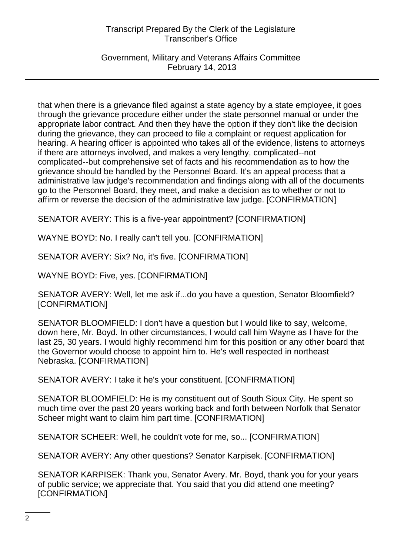Government, Military and Veterans Affairs Committee February 14, 2013

that when there is a grievance filed against a state agency by a state employee, it goes through the grievance procedure either under the state personnel manual or under the appropriate labor contract. And then they have the option if they don't like the decision during the grievance, they can proceed to file a complaint or request application for hearing. A hearing officer is appointed who takes all of the evidence, listens to attorneys if there are attorneys involved, and makes a very lengthy, complicated--not complicated--but comprehensive set of facts and his recommendation as to how the grievance should be handled by the Personnel Board. It's an appeal process that a administrative law judge's recommendation and findings along with all of the documents go to the Personnel Board, they meet, and make a decision as to whether or not to affirm or reverse the decision of the administrative law judge. [CONFIRMATION]

SENATOR AVERY: This is a five-year appointment? [CONFIRMATION]

WAYNE BOYD: No. I really can't tell you. [CONFIRMATION]

SENATOR AVERY: Six? No, it's five. [CONFIRMATION]

WAYNE BOYD: Five, yes. [CONFIRMATION]

SENATOR AVERY: Well, let me ask if...do you have a question, Senator Bloomfield? [CONFIRMATION]

SENATOR BLOOMFIELD: I don't have a question but I would like to say, welcome, down here, Mr. Boyd. In other circumstances, I would call him Wayne as I have for the last 25, 30 years. I would highly recommend him for this position or any other board that the Governor would choose to appoint him to. He's well respected in northeast Nebraska. [CONFIRMATION]

SENATOR AVERY: I take it he's your constituent. [CONFIRMATION]

SENATOR BLOOMFIELD: He is my constituent out of South Sioux City. He spent so much time over the past 20 years working back and forth between Norfolk that Senator Scheer might want to claim him part time. [CONFIRMATION]

SENATOR SCHEER: Well, he couldn't vote for me, so... [CONFIRMATION]

SENATOR AVERY: Any other questions? Senator Karpisek. [CONFIRMATION]

SENATOR KARPISEK: Thank you, Senator Avery. Mr. Boyd, thank you for your years of public service; we appreciate that. You said that you did attend one meeting? [CONFIRMATION]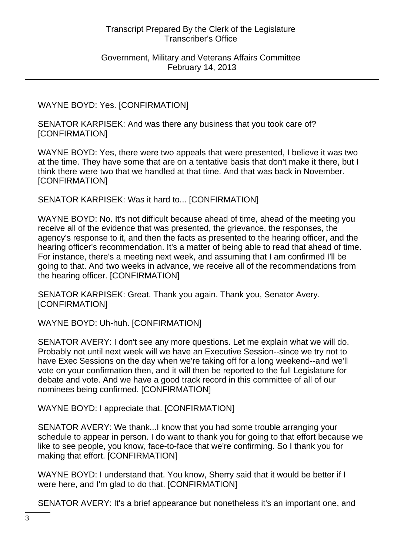#### Government, Military and Veterans Affairs Committee February 14, 2013

## WAYNE BOYD: Yes. [CONFIRMATION]

SENATOR KARPISEK: And was there any business that you took care of? [CONFIRMATION]

WAYNE BOYD: Yes, there were two appeals that were presented, I believe it was two at the time. They have some that are on a tentative basis that don't make it there, but I think there were two that we handled at that time. And that was back in November. [CONFIRMATION]

SENATOR KARPISEK: Was it hard to... [CONFIRMATION]

WAYNE BOYD: No. It's not difficult because ahead of time, ahead of the meeting you receive all of the evidence that was presented, the grievance, the responses, the agency's response to it, and then the facts as presented to the hearing officer, and the hearing officer's recommendation. It's a matter of being able to read that ahead of time. For instance, there's a meeting next week, and assuming that I am confirmed I'll be going to that. And two weeks in advance, we receive all of the recommendations from the hearing officer. [CONFIRMATION]

SENATOR KARPISEK: Great. Thank you again. Thank you, Senator Avery. [CONFIRMATION]

WAYNE BOYD: Uh-huh. [CONFIRMATION]

SENATOR AVERY: I don't see any more questions. Let me explain what we will do. Probably not until next week will we have an Executive Session--since we try not to have Exec Sessions on the day when we're taking off for a long weekend--and we'll vote on your confirmation then, and it will then be reported to the full Legislature for debate and vote. And we have a good track record in this committee of all of our nominees being confirmed. [CONFIRMATION]

WAYNE BOYD: I appreciate that. [CONFIRMATION]

SENATOR AVERY: We thank...I know that you had some trouble arranging your schedule to appear in person. I do want to thank you for going to that effort because we like to see people, you know, face-to-face that we're confirming. So I thank you for making that effort. [CONFIRMATION]

WAYNE BOYD: I understand that. You know, Sherry said that it would be better if I were here, and I'm glad to do that. [CONFIRMATION]

SENATOR AVERY: It's a brief appearance but nonetheless it's an important one, and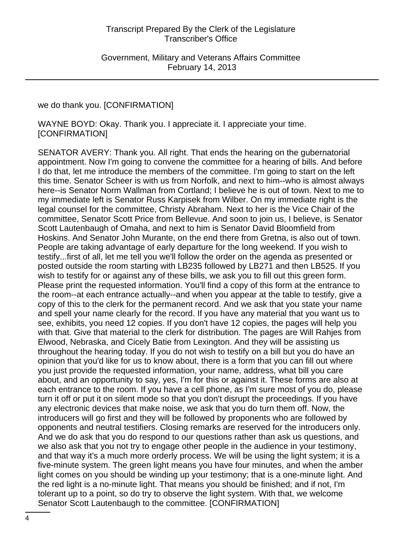we do thank you. [CONFIRMATION]

WAYNE BOYD: Okay. Thank you. I appreciate it. I appreciate your time. [CONFIRMATION]

SENATOR AVERY: Thank you. All right. That ends the hearing on the gubernatorial appointment. Now I'm going to convene the committee for a hearing of bills. And before I do that, let me introduce the members of the committee. I'm going to start on the left this time. Senator Scheer is with us from Norfolk, and next to him--who is almost always here--is Senator Norm Wallman from Cortland; I believe he is out of town. Next to me to my immediate left is Senator Russ Karpisek from Wilber. On my immediate right is the legal counsel for the committee, Christy Abraham. Next to her is the Vice Chair of the committee, Senator Scott Price from Bellevue. And soon to join us, I believe, is Senator Scott Lautenbaugh of Omaha, and next to him is Senator David Bloomfield from Hoskins. And Senator John Murante, on the end there from Gretna, is also out of town. People are taking advantage of early departure for the long weekend. If you wish to testify...first of all, let me tell you we'll follow the order on the agenda as presented or posted outside the room starting with LB235 followed by LB271 and then LB525. If you wish to testify for or against any of these bills, we ask you to fill out this green form. Please print the requested information. You'll find a copy of this form at the entrance to the room--at each entrance actually--and when you appear at the table to testify, give a copy of this to the clerk for the permanent record. And we ask that you state your name and spell your name clearly for the record. If you have any material that you want us to see, exhibits, you need 12 copies. If you don't have 12 copies, the pages will help you with that. Give that material to the clerk for distribution. The pages are Will Rahjes from Elwood, Nebraska, and Cicely Batie from Lexington. And they will be assisting us throughout the hearing today. If you do not wish to testify on a bill but you do have an opinion that you'd like for us to know about, there is a form that you can fill out where you just provide the requested information, your name, address, what bill you care about, and an opportunity to say, yes, I'm for this or against it. These forms are also at each entrance to the room. If you have a cell phone, as I'm sure most of you do, please turn it off or put it on silent mode so that you don't disrupt the proceedings. If you have any electronic devices that make noise, we ask that you do turn them off. Now, the introducers will go first and they will be followed by proponents who are followed by opponents and neutral testifiers. Closing remarks are reserved for the introducers only. And we do ask that you do respond to our questions rather than ask us questions, and we also ask that you not try to engage other people in the audience in your testimony, and that way it's a much more orderly process. We will be using the light system; it is a five-minute system. The green light means you have four minutes, and when the amber light comes on you should be winding up your testimony; that is a one-minute light. And the red light is a no-minute light. That means you should be finished; and if not, I'm tolerant up to a point, so do try to observe the light system. With that, we welcome Senator Scott Lautenbaugh to the committee. [CONFIRMATION]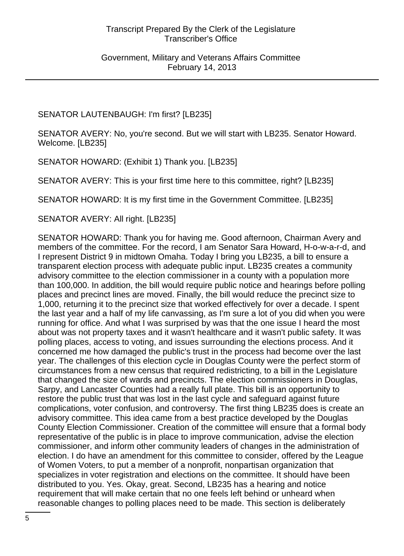# SENATOR LAUTENBAUGH: I'm first? [LB235]

SENATOR AVERY: No, you're second. But we will start with LB235. Senator Howard. Welcome. [LB235]

SENATOR HOWARD: (Exhibit 1) Thank you. [LB235]

SENATOR AVERY: This is your first time here to this committee, right? [LB235]

SENATOR HOWARD: It is my first time in the Government Committee. [LB235]

SENATOR AVERY: All right. [LB235]

SENATOR HOWARD: Thank you for having me. Good afternoon, Chairman Avery and members of the committee. For the record, I am Senator Sara Howard, H-o-w-a-r-d, and I represent District 9 in midtown Omaha. Today I bring you LB235, a bill to ensure a transparent election process with adequate public input. LB235 creates a community advisory committee to the election commissioner in a county with a population more than 100,000. In addition, the bill would require public notice and hearings before polling places and precinct lines are moved. Finally, the bill would reduce the precinct size to 1,000, returning it to the precinct size that worked effectively for over a decade. I spent the last year and a half of my life canvassing, as I'm sure a lot of you did when you were running for office. And what I was surprised by was that the one issue I heard the most about was not property taxes and it wasn't healthcare and it wasn't public safety. It was polling places, access to voting, and issues surrounding the elections process. And it concerned me how damaged the public's trust in the process had become over the last year. The challenges of this election cycle in Douglas County were the perfect storm of circumstances from a new census that required redistricting, to a bill in the Legislature that changed the size of wards and precincts. The election commissioners in Douglas, Sarpy, and Lancaster Counties had a really full plate. This bill is an opportunity to restore the public trust that was lost in the last cycle and safeguard against future complications, voter confusion, and controversy. The first thing LB235 does is create an advisory committee. This idea came from a best practice developed by the Douglas County Election Commissioner. Creation of the committee will ensure that a formal body representative of the public is in place to improve communication, advise the election commissioner, and inform other community leaders of changes in the administration of election. I do have an amendment for this committee to consider, offered by the League of Women Voters, to put a member of a nonprofit, nonpartisan organization that specializes in voter registration and elections on the committee. It should have been distributed to you. Yes. Okay, great. Second, LB235 has a hearing and notice requirement that will make certain that no one feels left behind or unheard when reasonable changes to polling places need to be made. This section is deliberately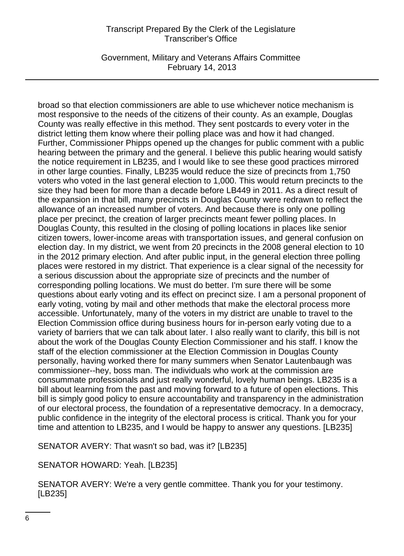Government, Military and Veterans Affairs Committee February 14, 2013

broad so that election commissioners are able to use whichever notice mechanism is most responsive to the needs of the citizens of their county. As an example, Douglas County was really effective in this method. They sent postcards to every voter in the district letting them know where their polling place was and how it had changed. Further, Commissioner Phipps opened up the changes for public comment with a public hearing between the primary and the general. I believe this public hearing would satisfy the notice requirement in LB235, and I would like to see these good practices mirrored in other large counties. Finally, LB235 would reduce the size of precincts from 1,750 voters who voted in the last general election to 1,000. This would return precincts to the size they had been for more than a decade before LB449 in 2011. As a direct result of the expansion in that bill, many precincts in Douglas County were redrawn to reflect the allowance of an increased number of voters. And because there is only one polling place per precinct, the creation of larger precincts meant fewer polling places. In Douglas County, this resulted in the closing of polling locations in places like senior citizen towers, lower-income areas with transportation issues, and general confusion on election day. In my district, we went from 20 precincts in the 2008 general election to 10 in the 2012 primary election. And after public input, in the general election three polling places were restored in my district. That experience is a clear signal of the necessity for a serious discussion about the appropriate size of precincts and the number of corresponding polling locations. We must do better. I'm sure there will be some questions about early voting and its effect on precinct size. I am a personal proponent of early voting, voting by mail and other methods that make the electoral process more accessible. Unfortunately, many of the voters in my district are unable to travel to the Election Commission office during business hours for in-person early voting due to a variety of barriers that we can talk about later. I also really want to clarify, this bill is not about the work of the Douglas County Election Commissioner and his staff. I know the staff of the election commissioner at the Election Commission in Douglas County personally, having worked there for many summers when Senator Lautenbaugh was commissioner--hey, boss man. The individuals who work at the commission are consummate professionals and just really wonderful, lovely human beings. LB235 is a bill about learning from the past and moving forward to a future of open elections. This bill is simply good policy to ensure accountability and transparency in the administration of our electoral process, the foundation of a representative democracy. In a democracy, public confidence in the integrity of the electoral process is critical. Thank you for your time and attention to LB235, and I would be happy to answer any questions. [LB235]

SENATOR AVERY: That wasn't so bad, was it? [LB235]

SENATOR HOWARD: Yeah. [LB235]

SENATOR AVERY: We're a very gentle committee. Thank you for your testimony. [LB235]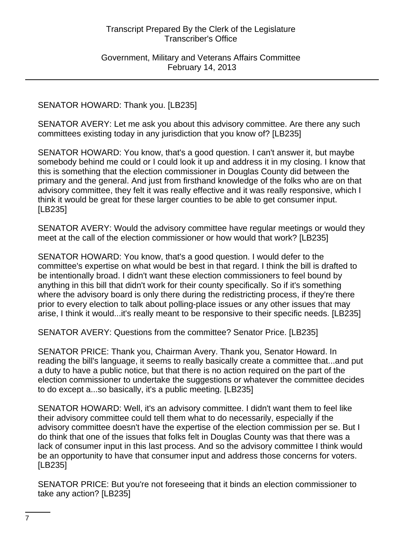Government, Military and Veterans Affairs Committee February 14, 2013

#### SENATOR HOWARD: Thank you. [LB235]

SENATOR AVERY: Let me ask you about this advisory committee. Are there any such committees existing today in any jurisdiction that you know of? [LB235]

SENATOR HOWARD: You know, that's a good question. I can't answer it, but maybe somebody behind me could or I could look it up and address it in my closing. I know that this is something that the election commissioner in Douglas County did between the primary and the general. And just from firsthand knowledge of the folks who are on that advisory committee, they felt it was really effective and it was really responsive, which I think it would be great for these larger counties to be able to get consumer input. [LB235]

SENATOR AVERY: Would the advisory committee have regular meetings or would they meet at the call of the election commissioner or how would that work? [LB235]

SENATOR HOWARD: You know, that's a good question. I would defer to the committee's expertise on what would be best in that regard. I think the bill is drafted to be intentionally broad. I didn't want these election commissioners to feel bound by anything in this bill that didn't work for their county specifically. So if it's something where the advisory board is only there during the redistricting process, if they're there prior to every election to talk about polling-place issues or any other issues that may arise, I think it would...it's really meant to be responsive to their specific needs. [LB235]

SENATOR AVERY: Questions from the committee? Senator Price. [LB235]

SENATOR PRICE: Thank you, Chairman Avery. Thank you, Senator Howard. In reading the bill's language, it seems to really basically create a committee that...and put a duty to have a public notice, but that there is no action required on the part of the election commissioner to undertake the suggestions or whatever the committee decides to do except a...so basically, it's a public meeting. [LB235]

SENATOR HOWARD: Well, it's an advisory committee. I didn't want them to feel like their advisory committee could tell them what to do necessarily, especially if the advisory committee doesn't have the expertise of the election commission per se. But I do think that one of the issues that folks felt in Douglas County was that there was a lack of consumer input in this last process. And so the advisory committee I think would be an opportunity to have that consumer input and address those concerns for voters. [LB235]

SENATOR PRICE: But you're not foreseeing that it binds an election commissioner to take any action? [LB235]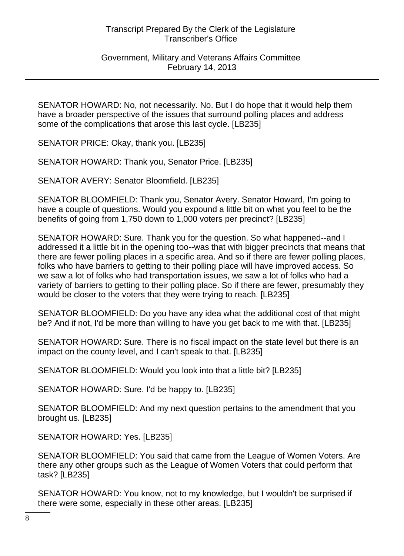Government, Military and Veterans Affairs Committee February 14, 2013

SENATOR HOWARD: No, not necessarily. No. But I do hope that it would help them have a broader perspective of the issues that surround polling places and address some of the complications that arose this last cycle. [LB235]

SENATOR PRICE: Okay, thank you. [LB235]

SENATOR HOWARD: Thank you, Senator Price. [LB235]

SENATOR AVERY: Senator Bloomfield. [LB235]

SENATOR BLOOMFIELD: Thank you, Senator Avery. Senator Howard, I'm going to have a couple of questions. Would you expound a little bit on what you feel to be the benefits of going from 1,750 down to 1,000 voters per precinct? [LB235]

SENATOR HOWARD: Sure. Thank you for the question. So what happened--and I addressed it a little bit in the opening too--was that with bigger precincts that means that there are fewer polling places in a specific area. And so if there are fewer polling places, folks who have barriers to getting to their polling place will have improved access. So we saw a lot of folks who had transportation issues, we saw a lot of folks who had a variety of barriers to getting to their polling place. So if there are fewer, presumably they would be closer to the voters that they were trying to reach. [LB235]

SENATOR BLOOMFIELD: Do you have any idea what the additional cost of that might be? And if not, I'd be more than willing to have you get back to me with that. [LB235]

SENATOR HOWARD: Sure. There is no fiscal impact on the state level but there is an impact on the county level, and I can't speak to that. [LB235]

SENATOR BLOOMFIELD: Would you look into that a little bit? [LB235]

SENATOR HOWARD: Sure. I'd be happy to. [LB235]

SENATOR BLOOMFIELD: And my next question pertains to the amendment that you brought us. [LB235]

SENATOR HOWARD: Yes. [LB235]

SENATOR BLOOMFIELD: You said that came from the League of Women Voters. Are there any other groups such as the League of Women Voters that could perform that task? [LB235]

SENATOR HOWARD: You know, not to my knowledge, but I wouldn't be surprised if there were some, especially in these other areas. [LB235]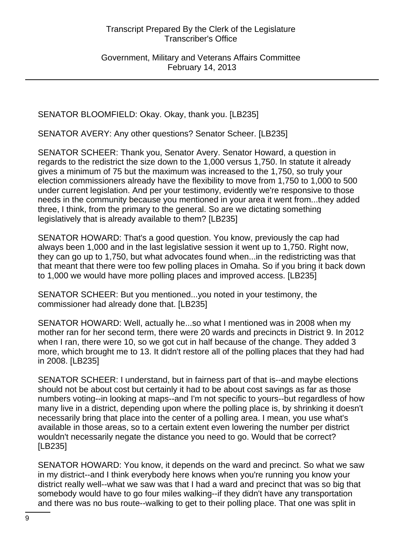Government, Military and Veterans Affairs Committee February 14, 2013

SENATOR BLOOMFIELD: Okay. Okay, thank you. [LB235]

SENATOR AVERY: Any other questions? Senator Scheer. [LB235]

SENATOR SCHEER: Thank you, Senator Avery. Senator Howard, a question in regards to the redistrict the size down to the 1,000 versus 1,750. In statute it already gives a minimum of 75 but the maximum was increased to the 1,750, so truly your election commissioners already have the flexibility to move from 1,750 to 1,000 to 500 under current legislation. And per your testimony, evidently we're responsive to those needs in the community because you mentioned in your area it went from...they added three, I think, from the primary to the general. So are we dictating something legislatively that is already available to them? [LB235]

SENATOR HOWARD: That's a good question. You know, previously the cap had always been 1,000 and in the last legislative session it went up to 1,750. Right now, they can go up to 1,750, but what advocates found when...in the redistricting was that that meant that there were too few polling places in Omaha. So if you bring it back down to 1,000 we would have more polling places and improved access. [LB235]

SENATOR SCHEER: But you mentioned...you noted in your testimony, the commissioner had already done that. [LB235]

SENATOR HOWARD: Well, actually he...so what I mentioned was in 2008 when my mother ran for her second term, there were 20 wards and precincts in District 9. In 2012 when I ran, there were 10, so we got cut in half because of the change. They added 3 more, which brought me to 13. It didn't restore all of the polling places that they had had in 2008. [LB235]

SENATOR SCHEER: I understand, but in fairness part of that is--and maybe elections should not be about cost but certainly it had to be about cost savings as far as those numbers voting--in looking at maps--and I'm not specific to yours--but regardless of how many live in a district, depending upon where the polling place is, by shrinking it doesn't necessarily bring that place into the center of a polling area. I mean, you use what's available in those areas, so to a certain extent even lowering the number per district wouldn't necessarily negate the distance you need to go. Would that be correct? [LB235]

SENATOR HOWARD: You know, it depends on the ward and precinct. So what we saw in my district--and I think everybody here knows when you're running you know your district really well--what we saw was that I had a ward and precinct that was so big that somebody would have to go four miles walking--if they didn't have any transportation and there was no bus route--walking to get to their polling place. That one was split in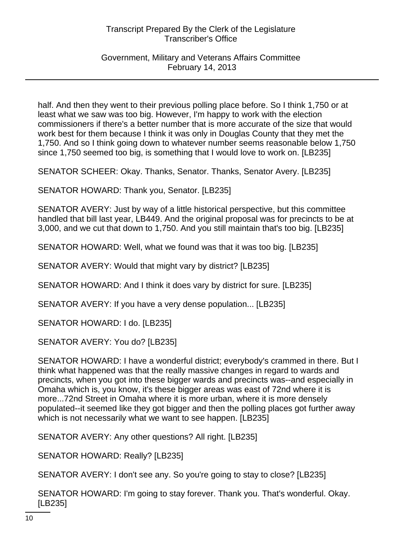Government, Military and Veterans Affairs Committee February 14, 2013

half. And then they went to their previous polling place before. So I think 1,750 or at least what we saw was too big. However, I'm happy to work with the election commissioners if there's a better number that is more accurate of the size that would work best for them because I think it was only in Douglas County that they met the 1,750. And so I think going down to whatever number seems reasonable below 1,750 since 1,750 seemed too big, is something that I would love to work on. [LB235]

SENATOR SCHEER: Okay. Thanks, Senator. Thanks, Senator Avery. [LB235]

SENATOR HOWARD: Thank you, Senator. [LB235]

SENATOR AVERY: Just by way of a little historical perspective, but this committee handled that bill last year, LB449. And the original proposal was for precincts to be at 3,000, and we cut that down to 1,750. And you still maintain that's too big. [LB235]

SENATOR HOWARD: Well, what we found was that it was too big. [LB235]

SENATOR AVERY: Would that might vary by district? [LB235]

SENATOR HOWARD: And I think it does vary by district for sure. [LB235]

SENATOR AVERY: If you have a very dense population... [LB235]

SENATOR HOWARD: I do. [LB235]

SENATOR AVERY: You do? [LB235]

SENATOR HOWARD: I have a wonderful district; everybody's crammed in there. But I think what happened was that the really massive changes in regard to wards and precincts, when you got into these bigger wards and precincts was--and especially in Omaha which is, you know, it's these bigger areas was east of 72nd where it is more...72nd Street in Omaha where it is more urban, where it is more densely populated--it seemed like they got bigger and then the polling places got further away which is not necessarily what we want to see happen. [LB235]

SENATOR AVERY: Any other questions? All right. [LB235]

SENATOR HOWARD: Really? [LB235]

SENATOR AVERY: I don't see any. So you're going to stay to close? [LB235]

SENATOR HOWARD: I'm going to stay forever. Thank you. That's wonderful. Okay. [LB235]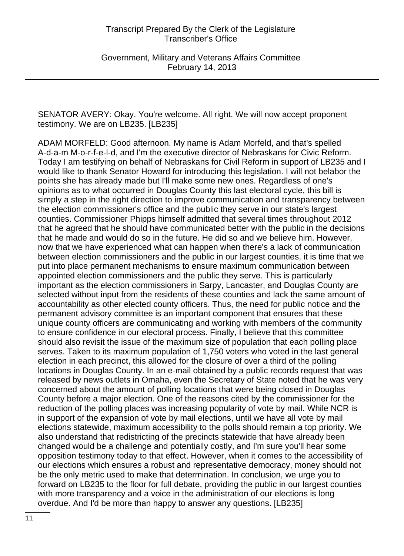Government, Military and Veterans Affairs Committee February 14, 2013

SENATOR AVERY: Okay. You're welcome. All right. We will now accept proponent testimony. We are on LB235. [LB235]

ADAM MORFELD: Good afternoon. My name is Adam Morfeld, and that's spelled A-d-a-m M-o-r-f-e-l-d, and I'm the executive director of Nebraskans for Civic Reform. Today I am testifying on behalf of Nebraskans for Civil Reform in support of LB235 and I would like to thank Senator Howard for introducing this legislation. I will not belabor the points she has already made but I'll make some new ones. Regardless of one's opinions as to what occurred in Douglas County this last electoral cycle, this bill is simply a step in the right direction to improve communication and transparency between the election commissioner's office and the public they serve in our state's largest counties. Commissioner Phipps himself admitted that several times throughout 2012 that he agreed that he should have communicated better with the public in the decisions that he made and would do so in the future. He did so and we believe him. However, now that we have experienced what can happen when there's a lack of communication between election commissioners and the public in our largest counties, it is time that we put into place permanent mechanisms to ensure maximum communication between appointed election commissioners and the public they serve. This is particularly important as the election commissioners in Sarpy, Lancaster, and Douglas County are selected without input from the residents of these counties and lack the same amount of accountability as other elected county officers. Thus, the need for public notice and the permanent advisory committee is an important component that ensures that these unique county officers are communicating and working with members of the community to ensure confidence in our electoral process. Finally, I believe that this committee should also revisit the issue of the maximum size of population that each polling place serves. Taken to its maximum population of 1,750 voters who voted in the last general election in each precinct, this allowed for the closure of over a third of the polling locations in Douglas County. In an e-mail obtained by a public records request that was released by news outlets in Omaha, even the Secretary of State noted that he was very concerned about the amount of polling locations that were being closed in Douglas County before a major election. One of the reasons cited by the commissioner for the reduction of the polling places was increasing popularity of vote by mail. While NCR is in support of the expansion of vote by mail elections, until we have all vote by mail elections statewide, maximum accessibility to the polls should remain a top priority. We also understand that redistricting of the precincts statewide that have already been changed would be a challenge and potentially costly, and I'm sure you'll hear some opposition testimony today to that effect. However, when it comes to the accessibility of our elections which ensures a robust and representative democracy, money should not be the only metric used to make that determination. In conclusion, we urge you to forward on LB235 to the floor for full debate, providing the public in our largest counties with more transparency and a voice in the administration of our elections is long overdue. And I'd be more than happy to answer any questions. [LB235]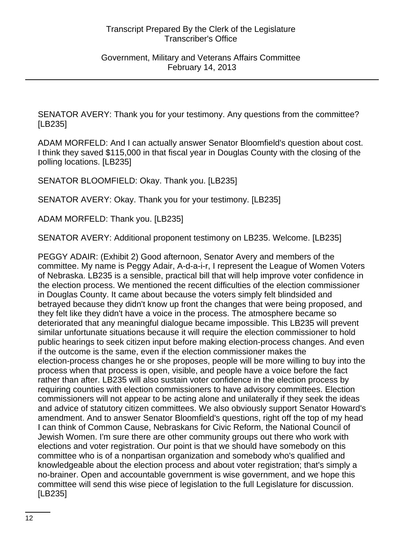SENATOR AVERY: Thank you for your testimony. Any questions from the committee? [LB235]

ADAM MORFELD: And I can actually answer Senator Bloomfield's question about cost. I think they saved \$115,000 in that fiscal year in Douglas County with the closing of the polling locations. [LB235]

SENATOR BLOOMFIELD: Okay. Thank you. [LB235]

SENATOR AVERY: Okay. Thank you for your testimony. [LB235]

ADAM MORFELD: Thank you. [LB235]

SENATOR AVERY: Additional proponent testimony on LB235. Welcome. [LB235]

PEGGY ADAIR: (Exhibit 2) Good afternoon, Senator Avery and members of the committee. My name is Peggy Adair, A-d-a-i-r, I represent the League of Women Voters of Nebraska. LB235 is a sensible, practical bill that will help improve voter confidence in the election process. We mentioned the recent difficulties of the election commissioner in Douglas County. It came about because the voters simply felt blindsided and betrayed because they didn't know up front the changes that were being proposed, and they felt like they didn't have a voice in the process. The atmosphere became so deteriorated that any meaningful dialogue became impossible. This LB235 will prevent similar unfortunate situations because it will require the election commissioner to hold public hearings to seek citizen input before making election-process changes. And even if the outcome is the same, even if the election commissioner makes the election-process changes he or she proposes, people will be more willing to buy into the process when that process is open, visible, and people have a voice before the fact rather than after. LB235 will also sustain voter confidence in the election process by requiring counties with election commissioners to have advisory committees. Election commissioners will not appear to be acting alone and unilaterally if they seek the ideas and advice of statutory citizen committees. We also obviously support Senator Howard's amendment. And to answer Senator Bloomfield's questions, right off the top of my head I can think of Common Cause, Nebraskans for Civic Reform, the National Council of Jewish Women. I'm sure there are other community groups out there who work with elections and voter registration. Our point is that we should have somebody on this committee who is of a nonpartisan organization and somebody who's qualified and knowledgeable about the election process and about voter registration; that's simply a no-brainer. Open and accountable government is wise government, and we hope this committee will send this wise piece of legislation to the full Legislature for discussion. [LB235]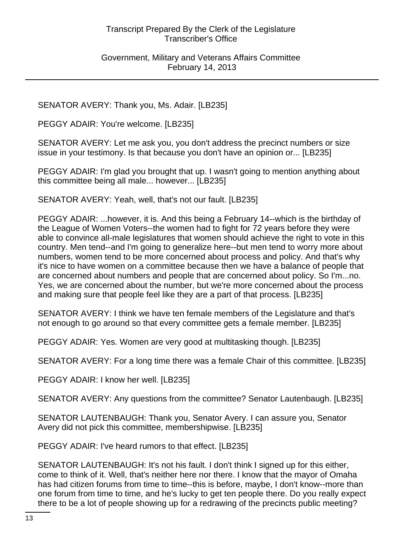#### Government, Military and Veterans Affairs Committee February 14, 2013

SENATOR AVERY: Thank you, Ms. Adair. [LB235]

PEGGY ADAIR: You're welcome. [LB235]

SENATOR AVERY: Let me ask you, you don't address the precinct numbers or size issue in your testimony. Is that because you don't have an opinion or... [LB235]

PEGGY ADAIR: I'm glad you brought that up. I wasn't going to mention anything about this committee being all male... however... [LB235]

SENATOR AVERY: Yeah, well, that's not our fault. [LB235]

PEGGY ADAIR: ...however, it is. And this being a February 14--which is the birthday of the League of Women Voters--the women had to fight for 72 years before they were able to convince all-male legislatures that women should achieve the right to vote in this country. Men tend--and I'm going to generalize here--but men tend to worry more about numbers, women tend to be more concerned about process and policy. And that's why it's nice to have women on a committee because then we have a balance of people that are concerned about numbers and people that are concerned about policy. So I'm...no. Yes, we are concerned about the number, but we're more concerned about the process and making sure that people feel like they are a part of that process. [LB235]

SENATOR AVERY: I think we have ten female members of the Legislature and that's not enough to go around so that every committee gets a female member. [LB235]

PEGGY ADAIR: Yes. Women are very good at multitasking though. [LB235]

SENATOR AVERY: For a long time there was a female Chair of this committee. [LB235]

PEGGY ADAIR: I know her well. [LB235]

SENATOR AVERY: Any questions from the committee? Senator Lautenbaugh. [LB235]

SENATOR LAUTENBAUGH: Thank you, Senator Avery. I can assure you, Senator Avery did not pick this committee, membershipwise. [LB235]

PEGGY ADAIR: I've heard rumors to that effect. [LB235]

SENATOR LAUTENBAUGH: It's not his fault. I don't think I signed up for this either, come to think of it. Well, that's neither here nor there. I know that the mayor of Omaha has had citizen forums from time to time--this is before, maybe, I don't know--more than one forum from time to time, and he's lucky to get ten people there. Do you really expect there to be a lot of people showing up for a redrawing of the precincts public meeting?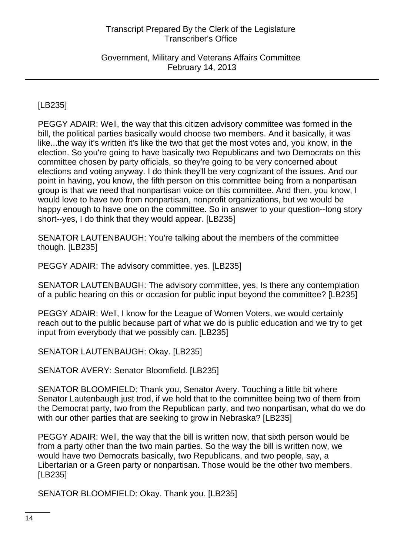Government, Military and Veterans Affairs Committee February 14, 2013

# [LB235]

PEGGY ADAIR: Well, the way that this citizen advisory committee was formed in the bill, the political parties basically would choose two members. And it basically, it was like...the way it's written it's like the two that get the most votes and, you know, in the election. So you're going to have basically two Republicans and two Democrats on this committee chosen by party officials, so they're going to be very concerned about elections and voting anyway. I do think they'll be very cognizant of the issues. And our point in having, you know, the fifth person on this committee being from a nonpartisan group is that we need that nonpartisan voice on this committee. And then, you know, I would love to have two from nonpartisan, nonprofit organizations, but we would be happy enough to have one on the committee. So in answer to your question--long story short--yes, I do think that they would appear. [LB235]

SENATOR LAUTENBAUGH: You're talking about the members of the committee though. [LB235]

PEGGY ADAIR: The advisory committee, yes. [LB235]

SENATOR LAUTENBAUGH: The advisory committee, yes. Is there any contemplation of a public hearing on this or occasion for public input beyond the committee? [LB235]

PEGGY ADAIR: Well, I know for the League of Women Voters, we would certainly reach out to the public because part of what we do is public education and we try to get input from everybody that we possibly can. [LB235]

SENATOR LAUTENBAUGH: Okay. [LB235]

SENATOR AVERY: Senator Bloomfield. [LB235]

SENATOR BLOOMFIELD: Thank you, Senator Avery. Touching a little bit where Senator Lautenbaugh just trod, if we hold that to the committee being two of them from the Democrat party, two from the Republican party, and two nonpartisan, what do we do with our other parties that are seeking to grow in Nebraska? [LB235]

PEGGY ADAIR: Well, the way that the bill is written now, that sixth person would be from a party other than the two main parties. So the way the bill is written now, we would have two Democrats basically, two Republicans, and two people, say, a Libertarian or a Green party or nonpartisan. Those would be the other two members. [LB235]

SENATOR BLOOMFIELD: Okay. Thank you. [LB235]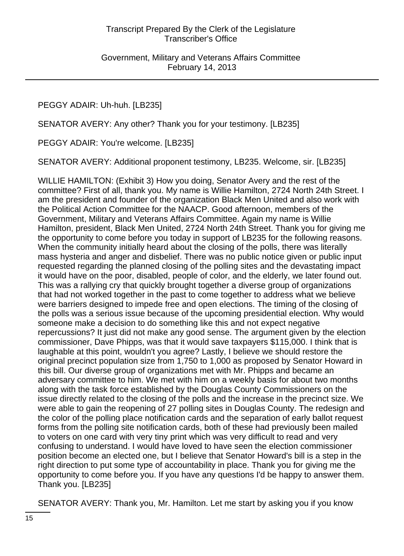# PEGGY ADAIR: Uh-huh. [LB235]

SENATOR AVERY: Any other? Thank you for your testimony. [LB235]

PEGGY ADAIR: You're welcome. [LB235]

SENATOR AVERY: Additional proponent testimony, LB235. Welcome, sir. [LB235]

WILLIE HAMILTON: (Exhibit 3) How you doing, Senator Avery and the rest of the committee? First of all, thank you. My name is Willie Hamilton, 2724 North 24th Street. I am the president and founder of the organization Black Men United and also work with the Political Action Committee for the NAACP. Good afternoon, members of the Government, Military and Veterans Affairs Committee. Again my name is Willie Hamilton, president, Black Men United, 2724 North 24th Street. Thank you for giving me the opportunity to come before you today in support of LB235 for the following reasons. When the community initially heard about the closing of the polls, there was literally mass hysteria and anger and disbelief. There was no public notice given or public input requested regarding the planned closing of the polling sites and the devastating impact it would have on the poor, disabled, people of color, and the elderly, we later found out. This was a rallying cry that quickly brought together a diverse group of organizations that had not worked together in the past to come together to address what we believe were barriers designed to impede free and open elections. The timing of the closing of the polls was a serious issue because of the upcoming presidential election. Why would someone make a decision to do something like this and not expect negative repercussions? It just did not make any good sense. The argument given by the election commissioner, Dave Phipps, was that it would save taxpayers \$115,000. I think that is laughable at this point, wouldn't you agree? Lastly, I believe we should restore the original precinct population size from 1,750 to 1,000 as proposed by Senator Howard in this bill. Our diverse group of organizations met with Mr. Phipps and became an adversary committee to him. We met with him on a weekly basis for about two months along with the task force established by the Douglas County Commissioners on the issue directly related to the closing of the polls and the increase in the precinct size. We were able to gain the reopening of 27 polling sites in Douglas County. The redesign and the color of the polling place notification cards and the separation of early ballot request forms from the polling site notification cards, both of these had previously been mailed to voters on one card with very tiny print which was very difficult to read and very confusing to understand. I would have loved to have seen the election commissioner position become an elected one, but I believe that Senator Howard's bill is a step in the right direction to put some type of accountability in place. Thank you for giving me the opportunity to come before you. If you have any questions I'd be happy to answer them. Thank you. [LB235]

SENATOR AVERY: Thank you, Mr. Hamilton. Let me start by asking you if you know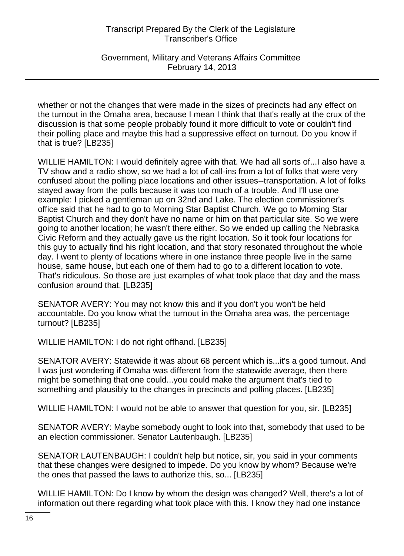Government, Military and Veterans Affairs Committee February 14, 2013

whether or not the changes that were made in the sizes of precincts had any effect on the turnout in the Omaha area, because I mean I think that that's really at the crux of the discussion is that some people probably found it more difficult to vote or couldn't find their polling place and maybe this had a suppressive effect on turnout. Do you know if that is true? [LB235]

WILLIE HAMILTON: I would definitely agree with that. We had all sorts of...I also have a TV show and a radio show, so we had a lot of call-ins from a lot of folks that were very confused about the polling place locations and other issues--transportation. A lot of folks stayed away from the polls because it was too much of a trouble. And I'll use one example: I picked a gentleman up on 32nd and Lake. The election commissioner's office said that he had to go to Morning Star Baptist Church. We go to Morning Star Baptist Church and they don't have no name or him on that particular site. So we were going to another location; he wasn't there either. So we ended up calling the Nebraska Civic Reform and they actually gave us the right location. So it took four locations for this guy to actually find his right location, and that story resonated throughout the whole day. I went to plenty of locations where in one instance three people live in the same house, same house, but each one of them had to go to a different location to vote. That's ridiculous. So those are just examples of what took place that day and the mass confusion around that. [LB235]

SENATOR AVERY: You may not know this and if you don't you won't be held accountable. Do you know what the turnout in the Omaha area was, the percentage turnout? [LB235]

WILLIE HAMILTON: I do not right offhand. [LB235]

SENATOR AVERY: Statewide it was about 68 percent which is...it's a good turnout. And I was just wondering if Omaha was different from the statewide average, then there might be something that one could...you could make the argument that's tied to something and plausibly to the changes in precincts and polling places. [LB235]

WILLIE HAMILTON: I would not be able to answer that question for you, sir. [LB235]

SENATOR AVERY: Maybe somebody ought to look into that, somebody that used to be an election commissioner. Senator Lautenbaugh. [LB235]

SENATOR LAUTENBAUGH: I couldn't help but notice, sir, you said in your comments that these changes were designed to impede. Do you know by whom? Because we're the ones that passed the laws to authorize this, so... [LB235]

WILLIE HAMILTON: Do I know by whom the design was changed? Well, there's a lot of information out there regarding what took place with this. I know they had one instance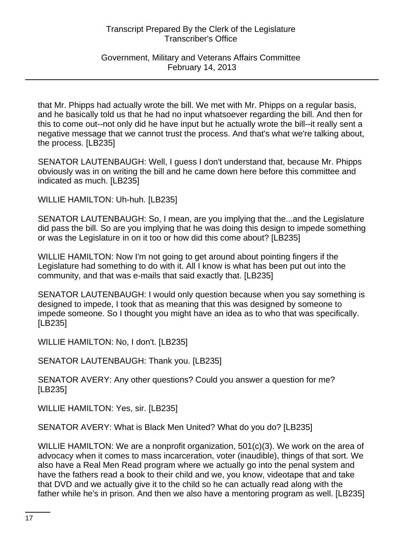Government, Military and Veterans Affairs Committee February 14, 2013

that Mr. Phipps had actually wrote the bill. We met with Mr. Phipps on a regular basis, and he basically told us that he had no input whatsoever regarding the bill. And then for this to come out--not only did he have input but he actually wrote the bill--it really sent a negative message that we cannot trust the process. And that's what we're talking about, the process. [LB235]

SENATOR LAUTENBAUGH: Well, I guess I don't understand that, because Mr. Phipps obviously was in on writing the bill and he came down here before this committee and indicated as much. [LB235]

WILLIE HAMILTON: Uh-huh. [LB235]

SENATOR LAUTENBAUGH: So, I mean, are you implying that the...and the Legislature did pass the bill. So are you implying that he was doing this design to impede something or was the Legislature in on it too or how did this come about? [LB235]

WILLIE HAMILTON: Now I'm not going to get around about pointing fingers if the Legislature had something to do with it. All I know is what has been put out into the community, and that was e-mails that said exactly that. [LB235]

SENATOR LAUTENBAUGH: I would only question because when you say something is designed to impede, I took that as meaning that this was designed by someone to impede someone. So I thought you might have an idea as to who that was specifically. [LB235]

WILLIE HAMILTON: No, I don't. [LB235]

SENATOR LAUTENBAUGH: Thank you. [LB235]

SENATOR AVERY: Any other questions? Could you answer a question for me? [LB235]

WILLIE HAMILTON: Yes, sir. [LB235]

SENATOR AVERY: What is Black Men United? What do you do? [LB235]

WILLIE HAMILTON: We are a nonprofit organization, 501(c)(3). We work on the area of advocacy when it comes to mass incarceration, voter (inaudible), things of that sort. We also have a Real Men Read program where we actually go into the penal system and have the fathers read a book to their child and we, you know, videotape that and take that DVD and we actually give it to the child so he can actually read along with the father while he's in prison. And then we also have a mentoring program as well. [LB235]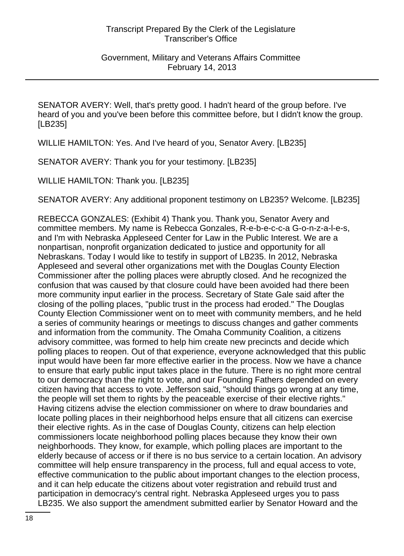SENATOR AVERY: Well, that's pretty good. I hadn't heard of the group before. I've heard of you and you've been before this committee before, but I didn't know the group. [LB235]

WILLIE HAMILTON: Yes. And I've heard of you, Senator Avery. [LB235]

SENATOR AVERY: Thank you for your testimony. [LB235]

WILLIE HAMILTON: Thank you. [LB235]

SENATOR AVERY: Any additional proponent testimony on LB235? Welcome. [LB235]

REBECCA GONZALES: (Exhibit 4) Thank you. Thank you, Senator Avery and committee members. My name is Rebecca Gonzales, R-e-b-e-c-c-a G-o-n-z-a-l-e-s, and I'm with Nebraska Appleseed Center for Law in the Public Interest. We are a nonpartisan, nonprofit organization dedicated to justice and opportunity for all Nebraskans. Today I would like to testify in support of LB235. In 2012, Nebraska Appleseed and several other organizations met with the Douglas County Election Commissioner after the polling places were abruptly closed. And he recognized the confusion that was caused by that closure could have been avoided had there been more community input earlier in the process. Secretary of State Gale said after the closing of the polling places, "public trust in the process had eroded." The Douglas County Election Commissioner went on to meet with community members, and he held a series of community hearings or meetings to discuss changes and gather comments and information from the community. The Omaha Community Coalition, a citizens advisory committee, was formed to help him create new precincts and decide which polling places to reopen. Out of that experience, everyone acknowledged that this public input would have been far more effective earlier in the process. Now we have a chance to ensure that early public input takes place in the future. There is no right more central to our democracy than the right to vote, and our Founding Fathers depended on every citizen having that access to vote. Jefferson said, "should things go wrong at any time, the people will set them to rights by the peaceable exercise of their elective rights." Having citizens advise the election commissioner on where to draw boundaries and locate polling places in their neighborhood helps ensure that all citizens can exercise their elective rights. As in the case of Douglas County, citizens can help election commissioners locate neighborhood polling places because they know their own neighborhoods. They know, for example, which polling places are important to the elderly because of access or if there is no bus service to a certain location. An advisory committee will help ensure transparency in the process, full and equal access to vote, effective communication to the public about important changes to the election process, and it can help educate the citizens about voter registration and rebuild trust and participation in democracy's central right. Nebraska Appleseed urges you to pass LB235. We also support the amendment submitted earlier by Senator Howard and the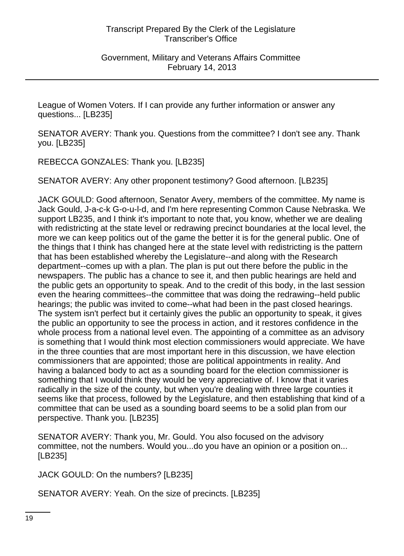League of Women Voters. If I can provide any further information or answer any questions... [LB235]

SENATOR AVERY: Thank you. Questions from the committee? I don't see any. Thank you. [LB235]

REBECCA GONZALES: Thank you. [LB235]

SENATOR AVERY: Any other proponent testimony? Good afternoon. [LB235]

JACK GOULD: Good afternoon, Senator Avery, members of the committee. My name is Jack Gould, J-a-c-k G-o-u-l-d, and I'm here representing Common Cause Nebraska. We support LB235, and I think it's important to note that, you know, whether we are dealing with redistricting at the state level or redrawing precinct boundaries at the local level, the more we can keep politics out of the game the better it is for the general public. One of the things that I think has changed here at the state level with redistricting is the pattern that has been established whereby the Legislature--and along with the Research department--comes up with a plan. The plan is put out there before the public in the newspapers. The public has a chance to see it, and then public hearings are held and the public gets an opportunity to speak. And to the credit of this body, in the last session even the hearing committees--the committee that was doing the redrawing--held public hearings; the public was invited to come--what had been in the past closed hearings. The system isn't perfect but it certainly gives the public an opportunity to speak, it gives the public an opportunity to see the process in action, and it restores confidence in the whole process from a national level even. The appointing of a committee as an advisory is something that I would think most election commissioners would appreciate. We have in the three counties that are most important here in this discussion, we have election commissioners that are appointed; those are political appointments in reality. And having a balanced body to act as a sounding board for the election commissioner is something that I would think they would be very appreciative of. I know that it varies radically in the size of the county, but when you're dealing with three large counties it seems like that process, followed by the Legislature, and then establishing that kind of a committee that can be used as a sounding board seems to be a solid plan from our perspective. Thank you. [LB235]

SENATOR AVERY: Thank you, Mr. Gould. You also focused on the advisory committee, not the numbers. Would you...do you have an opinion or a position on... [LB235]

JACK GOULD: On the numbers? [LB235]

SENATOR AVERY: Yeah. On the size of precincts. [LB235]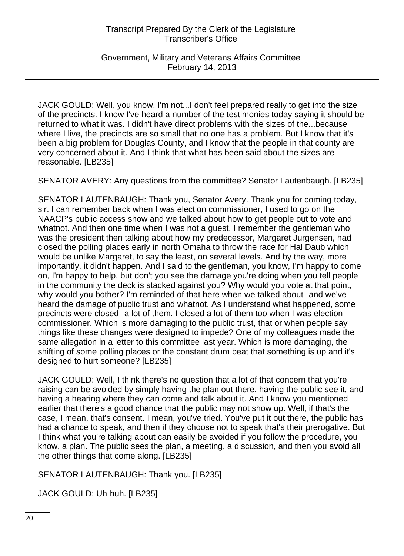Government, Military and Veterans Affairs Committee February 14, 2013

JACK GOULD: Well, you know, I'm not...I don't feel prepared really to get into the size of the precincts. I know I've heard a number of the testimonies today saying it should be returned to what it was. I didn't have direct problems with the sizes of the...because where I live, the precincts are so small that no one has a problem. But I know that it's been a big problem for Douglas County, and I know that the people in that county are very concerned about it. And I think that what has been said about the sizes are reasonable. [LB235]

SENATOR AVERY: Any questions from the committee? Senator Lautenbaugh. [LB235]

SENATOR LAUTENBAUGH: Thank you, Senator Avery. Thank you for coming today, sir. I can remember back when I was election commissioner, I used to go on the NAACP's public access show and we talked about how to get people out to vote and whatnot. And then one time when I was not a guest, I remember the gentleman who was the president then talking about how my predecessor, Margaret Jurgensen, had closed the polling places early in north Omaha to throw the race for Hal Daub which would be unlike Margaret, to say the least, on several levels. And by the way, more importantly, it didn't happen. And I said to the gentleman, you know, I'm happy to come on, I'm happy to help, but don't you see the damage you're doing when you tell people in the community the deck is stacked against you? Why would you vote at that point, why would you bother? I'm reminded of that here when we talked about--and we've heard the damage of public trust and whatnot. As I understand what happened, some precincts were closed--a lot of them. I closed a lot of them too when I was election commissioner. Which is more damaging to the public trust, that or when people say things like these changes were designed to impede? One of my colleagues made the same allegation in a letter to this committee last year. Which is more damaging, the shifting of some polling places or the constant drum beat that something is up and it's designed to hurt someone? [LB235]

JACK GOULD: Well, I think there's no question that a lot of that concern that you're raising can be avoided by simply having the plan out there, having the public see it, and having a hearing where they can come and talk about it. And I know you mentioned earlier that there's a good chance that the public may not show up. Well, if that's the case, I mean, that's consent. I mean, you've tried. You've put it out there, the public has had a chance to speak, and then if they choose not to speak that's their prerogative. But I think what you're talking about can easily be avoided if you follow the procedure, you know, a plan. The public sees the plan, a meeting, a discussion, and then you avoid all the other things that come along. [LB235]

SENATOR LAUTENBAUGH: Thank you. [LB235]

JACK GOULD: Uh-huh. [LB235]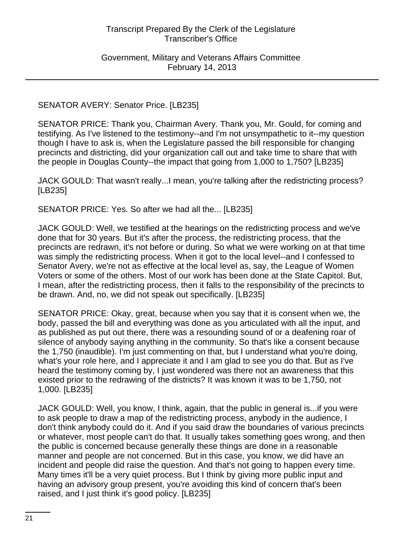Government, Military and Veterans Affairs Committee February 14, 2013

#### SENATOR AVERY: Senator Price. [LB235]

SENATOR PRICE: Thank you, Chairman Avery. Thank you, Mr. Gould, for coming and testifying. As I've listened to the testimony--and I'm not unsympathetic to it--my question though I have to ask is, when the Legislature passed the bill responsible for changing precincts and districting, did your organization call out and take time to share that with the people in Douglas County--the impact that going from 1,000 to 1,750? [LB235]

JACK GOULD: That wasn't really...I mean, you're talking after the redistricting process? [LB235]

SENATOR PRICE: Yes. So after we had all the... [LB235]

JACK GOULD: Well, we testified at the hearings on the redistricting process and we've done that for 30 years. But it's after the process, the redistricting process, that the precincts are redrawn, it's not before or during. So what we were working on at that time was simply the redistricting process. When it got to the local level--and I confessed to Senator Avery, we're not as effective at the local level as, say, the League of Women Voters or some of the others. Most of our work has been done at the State Capitol. But, I mean, after the redistricting process, then it falls to the responsibility of the precincts to be drawn. And, no, we did not speak out specifically. [LB235]

SENATOR PRICE: Okay, great, because when you say that it is consent when we, the body, passed the bill and everything was done as you articulated with all the input, and as published as put out there, there was a resounding sound of or a deafening roar of silence of anybody saying anything in the community. So that's like a consent because the 1,750 (inaudible). I'm just commenting on that, but I understand what you're doing, what's your role here, and I appreciate it and I am glad to see you do that. But as I've heard the testimony coming by, I just wondered was there not an awareness that this existed prior to the redrawing of the districts? It was known it was to be 1,750, not 1,000. [LB235]

JACK GOULD: Well, you know, I think, again, that the public in general is...if you were to ask people to draw a map of the redistricting process, anybody in the audience, I don't think anybody could do it. And if you said draw the boundaries of various precincts or whatever, most people can't do that. It usually takes something goes wrong, and then the public is concerned because generally these things are done in a reasonable manner and people are not concerned. But in this case, you know, we did have an incident and people did raise the question. And that's not going to happen every time. Many times it'll be a very quiet process. But I think by giving more public input and having an advisory group present, you're avoiding this kind of concern that's been raised, and I just think it's good policy. [LB235]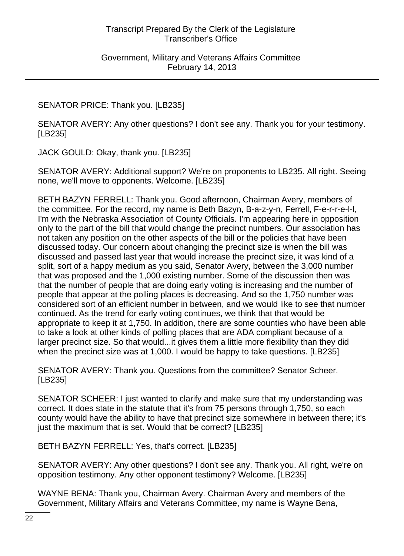# SENATOR PRICE: Thank you. [LB235]

SENATOR AVERY: Any other questions? I don't see any. Thank you for your testimony. [LB235]

JACK GOULD: Okay, thank you. [LB235]

SENATOR AVERY: Additional support? We're on proponents to LB235. All right. Seeing none, we'll move to opponents. Welcome. [LB235]

BETH BAZYN FERRELL: Thank you. Good afternoon, Chairman Avery, members of the committee. For the record, my name is Beth Bazyn, B-a-z-y-n, Ferrell, F-e-r-r-e-l-l, I'm with the Nebraska Association of County Officials. I'm appearing here in opposition only to the part of the bill that would change the precinct numbers. Our association has not taken any position on the other aspects of the bill or the policies that have been discussed today. Our concern about changing the precinct size is when the bill was discussed and passed last year that would increase the precinct size, it was kind of a split, sort of a happy medium as you said, Senator Avery, between the 3,000 number that was proposed and the 1,000 existing number. Some of the discussion then was that the number of people that are doing early voting is increasing and the number of people that appear at the polling places is decreasing. And so the 1,750 number was considered sort of an efficient number in between, and we would like to see that number continued. As the trend for early voting continues, we think that that would be appropriate to keep it at 1,750. In addition, there are some counties who have been able to take a look at other kinds of polling places that are ADA compliant because of a larger precinct size. So that would...it gives them a little more flexibility than they did when the precinct size was at 1,000. I would be happy to take questions. [LB235]

SENATOR AVERY: Thank you. Questions from the committee? Senator Scheer. [LB235]

SENATOR SCHEER: I just wanted to clarify and make sure that my understanding was correct. It does state in the statute that it's from 75 persons through 1,750, so each county would have the ability to have that precinct size somewhere in between there; it's just the maximum that is set. Would that be correct? [LB235]

BETH BAZYN FERRELL: Yes, that's correct. [LB235]

SENATOR AVERY: Any other questions? I don't see any. Thank you. All right, we're on opposition testimony. Any other opponent testimony? Welcome. [LB235]

WAYNE BENA: Thank you, Chairman Avery. Chairman Avery and members of the Government, Military Affairs and Veterans Committee, my name is Wayne Bena,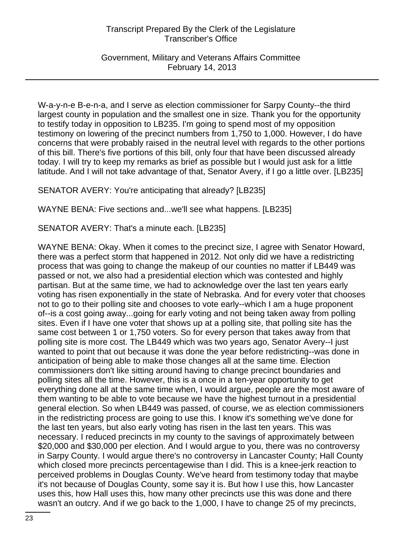Government, Military and Veterans Affairs Committee February 14, 2013

W-a-y-n-e B-e-n-a, and I serve as election commissioner for Sarpy County--the third largest county in population and the smallest one in size. Thank you for the opportunity to testify today in opposition to LB235. I'm going to spend most of my opposition testimony on lowering of the precinct numbers from 1,750 to 1,000. However, I do have concerns that were probably raised in the neutral level with regards to the other portions of this bill. There's five portions of this bill, only four that have been discussed already today. I will try to keep my remarks as brief as possible but I would just ask for a little latitude. And I will not take advantage of that, Senator Avery, if I go a little over. [LB235]

SENATOR AVERY: You're anticipating that already? [LB235]

WAYNE BENA: Five sections and...we'll see what happens. [LB235]

SENATOR AVERY: That's a minute each. [LB235]

WAYNE BENA: Okay. When it comes to the precinct size, I agree with Senator Howard, there was a perfect storm that happened in 2012. Not only did we have a redistricting process that was going to change the makeup of our counties no matter if LB449 was passed or not, we also had a presidential election which was contested and highly partisan. But at the same time, we had to acknowledge over the last ten years early voting has risen exponentially in the state of Nebraska. And for every voter that chooses not to go to their polling site and chooses to vote early--which I am a huge proponent of--is a cost going away...going for early voting and not being taken away from polling sites. Even if I have one voter that shows up at a polling site, that polling site has the same cost between 1 or 1,750 voters. So for every person that takes away from that polling site is more cost. The LB449 which was two years ago, Senator Avery--I just wanted to point that out because it was done the year before redistricting--was done in anticipation of being able to make those changes all at the same time. Election commissioners don't like sitting around having to change precinct boundaries and polling sites all the time. However, this is a once in a ten-year opportunity to get everything done all at the same time when, I would argue, people are the most aware of them wanting to be able to vote because we have the highest turnout in a presidential general election. So when LB449 was passed, of course, we as election commissioners in the redistricting process are going to use this. I know it's something we've done for the last ten years, but also early voting has risen in the last ten years. This was necessary. I reduced precincts in my county to the savings of approximately between \$20,000 and \$30,000 per election. And I would argue to you, there was no controversy in Sarpy County. I would argue there's no controversy in Lancaster County; Hall County which closed more precincts percentagewise than I did. This is a knee-jerk reaction to perceived problems in Douglas County. We've heard from testimony today that maybe it's not because of Douglas County, some say it is. But how I use this, how Lancaster uses this, how Hall uses this, how many other precincts use this was done and there wasn't an outcry. And if we go back to the 1,000, I have to change 25 of my precincts,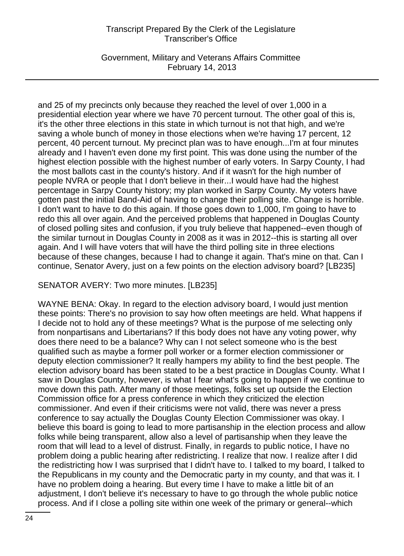Government, Military and Veterans Affairs Committee February 14, 2013

and 25 of my precincts only because they reached the level of over 1,000 in a presidential election year where we have 70 percent turnout. The other goal of this is, it's the other three elections in this state in which turnout is not that high, and we're saving a whole bunch of money in those elections when we're having 17 percent, 12 percent, 40 percent turnout. My precinct plan was to have enough...I'm at four minutes already and I haven't even done my first point. This was done using the number of the highest election possible with the highest number of early voters. In Sarpy County, I had the most ballots cast in the county's history. And if it wasn't for the high number of people NVRA or people that I don't believe in their...I would have had the highest percentage in Sarpy County history; my plan worked in Sarpy County. My voters have gotten past the initial Band-Aid of having to change their polling site. Change is horrible. I don't want to have to do this again. If those goes down to 1,000, I'm going to have to redo this all over again. And the perceived problems that happened in Douglas County of closed polling sites and confusion, if you truly believe that happened--even though of the similar turnout in Douglas County in 2008 as it was in 2012--this is starting all over again. And I will have voters that will have the third polling site in three elections because of these changes, because I had to change it again. That's mine on that. Can I continue, Senator Avery, just on a few points on the election advisory board? [LB235]

#### SENATOR AVERY: Two more minutes. [LB235]

WAYNE BENA: Okay. In regard to the election advisory board, I would just mention these points: There's no provision to say how often meetings are held. What happens if I decide not to hold any of these meetings? What is the purpose of me selecting only from nonpartisans and Libertarians? If this body does not have any voting power, why does there need to be a balance? Why can I not select someone who is the best qualified such as maybe a former poll worker or a former election commissioner or deputy election commissioner? It really hampers my ability to find the best people. The election advisory board has been stated to be a best practice in Douglas County. What I saw in Douglas County, however, is what I fear what's going to happen if we continue to move down this path. After many of those meetings, folks set up outside the Election Commission office for a press conference in which they criticized the election commissioner. And even if their criticisms were not valid, there was never a press conference to say actually the Douglas County Election Commissioner was okay. I believe this board is going to lead to more partisanship in the election process and allow folks while being transparent, allow also a level of partisanship when they leave the room that will lead to a level of distrust. Finally, in regards to public notice, I have no problem doing a public hearing after redistricting. I realize that now. I realize after I did the redistricting how I was surprised that I didn't have to. I talked to my board, I talked to the Republicans in my county and the Democratic party in my county, and that was it. I have no problem doing a hearing. But every time I have to make a little bit of an adjustment, I don't believe it's necessary to have to go through the whole public notice process. And if I close a polling site within one week of the primary or general--which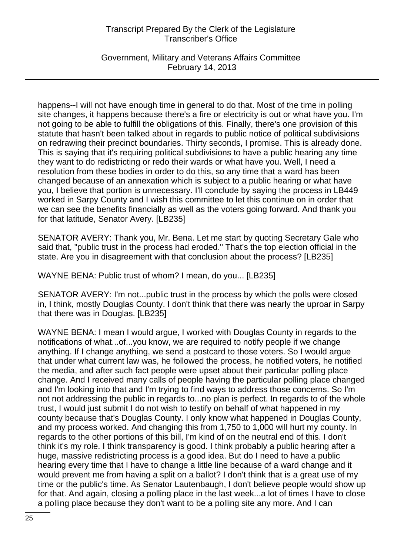Government, Military and Veterans Affairs Committee February 14, 2013

happens--I will not have enough time in general to do that. Most of the time in polling site changes, it happens because there's a fire or electricity is out or what have you. I'm not going to be able to fulfill the obligations of this. Finally, there's one provision of this statute that hasn't been talked about in regards to public notice of political subdivisions on redrawing their precinct boundaries. Thirty seconds, I promise. This is already done. This is saying that it's requiring political subdivisions to have a public hearing any time they want to do redistricting or redo their wards or what have you. Well, I need a resolution from these bodies in order to do this, so any time that a ward has been changed because of an annexation which is subject to a public hearing or what have you, I believe that portion is unnecessary. I'll conclude by saying the process in LB449 worked in Sarpy County and I wish this committee to let this continue on in order that we can see the benefits financially as well as the voters going forward. And thank you for that latitude, Senator Avery. [LB235]

SENATOR AVERY: Thank you, Mr. Bena. Let me start by quoting Secretary Gale who said that, "public trust in the process had eroded." That's the top election official in the state. Are you in disagreement with that conclusion about the process? [LB235]

WAYNE BENA: Public trust of whom? I mean, do you... [LB235]

SENATOR AVERY: I'm not...public trust in the process by which the polls were closed in, I think, mostly Douglas County. I don't think that there was nearly the uproar in Sarpy that there was in Douglas. [LB235]

WAYNE BENA: I mean I would argue, I worked with Douglas County in regards to the notifications of what...of...you know, we are required to notify people if we change anything. If I change anything, we send a postcard to those voters. So I would argue that under what current law was, he followed the process, he notified voters, he notified the media, and after such fact people were upset about their particular polling place change. And I received many calls of people having the particular polling place changed and I'm looking into that and I'm trying to find ways to address those concerns. So I'm not not addressing the public in regards to...no plan is perfect. In regards to of the whole trust, I would just submit I do not wish to testify on behalf of what happened in my county because that's Douglas County. I only know what happened in Douglas County, and my process worked. And changing this from 1,750 to 1,000 will hurt my county. In regards to the other portions of this bill, I'm kind of on the neutral end of this. I don't think it's my role. I think transparency is good. I think probably a public hearing after a huge, massive redistricting process is a good idea. But do I need to have a public hearing every time that I have to change a little line because of a ward change and it would prevent me from having a split on a ballot? I don't think that is a great use of my time or the public's time. As Senator Lautenbaugh, I don't believe people would show up for that. And again, closing a polling place in the last week...a lot of times I have to close a polling place because they don't want to be a polling site any more. And I can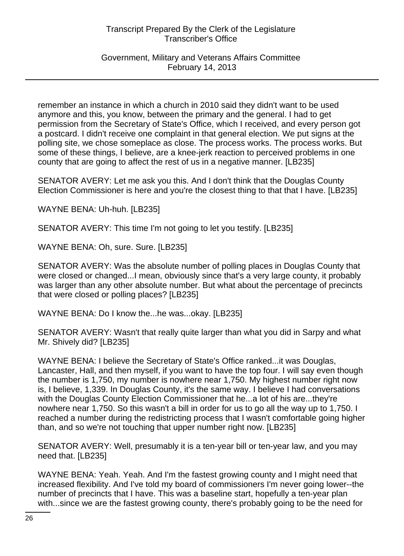Government, Military and Veterans Affairs Committee February 14, 2013

remember an instance in which a church in 2010 said they didn't want to be used anymore and this, you know, between the primary and the general. I had to get permission from the Secretary of State's Office, which I received, and every person got a postcard. I didn't receive one complaint in that general election. We put signs at the polling site, we chose someplace as close. The process works. The process works. But some of these things, I believe, are a knee-jerk reaction to perceived problems in one county that are going to affect the rest of us in a negative manner. [LB235]

SENATOR AVERY: Let me ask you this. And I don't think that the Douglas County Election Commissioner is here and you're the closest thing to that that I have. [LB235]

WAYNE BENA: Uh-huh. [LB235]

SENATOR AVERY: This time I'm not going to let you testify. [LB235]

WAYNE BENA: Oh, sure. Sure. [LB235]

SENATOR AVERY: Was the absolute number of polling places in Douglas County that were closed or changed...I mean, obviously since that's a very large county, it probably was larger than any other absolute number. But what about the percentage of precincts that were closed or polling places? [LB235]

WAYNE BENA: Do I know the...he was...okay. [LB235]

SENATOR AVERY: Wasn't that really quite larger than what you did in Sarpy and what Mr. Shively did? [LB235]

WAYNE BENA: I believe the Secretary of State's Office ranked...it was Douglas, Lancaster, Hall, and then myself, if you want to have the top four. I will say even though the number is 1,750, my number is nowhere near 1,750. My highest number right now is, I believe, 1,339. In Douglas County, it's the same way. I believe I had conversations with the Douglas County Election Commissioner that he...a lot of his are...they're nowhere near 1,750. So this wasn't a bill in order for us to go all the way up to 1,750. I reached a number during the redistricting process that I wasn't comfortable going higher than, and so we're not touching that upper number right now. [LB235]

SENATOR AVERY: Well, presumably it is a ten-year bill or ten-year law, and you may need that. [LB235]

WAYNE BENA: Yeah. Yeah. And I'm the fastest growing county and I might need that increased flexibility. And I've told my board of commissioners I'm never going lower--the number of precincts that I have. This was a baseline start, hopefully a ten-year plan with...since we are the fastest growing county, there's probably going to be the need for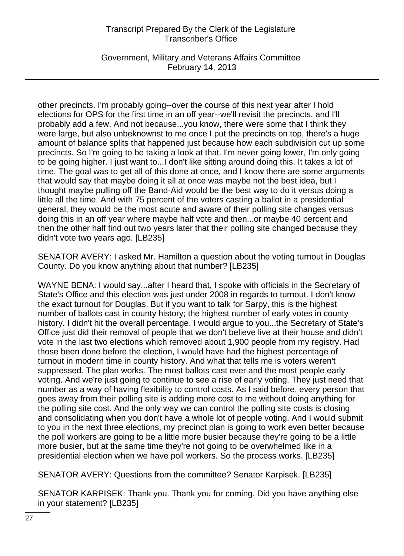Government, Military and Veterans Affairs Committee February 14, 2013

other precincts. I'm probably going--over the course of this next year after I hold elections for OPS for the first time in an off year--we'll revisit the precincts, and I'll probably add a few. And not because...you know, there were some that I think they were large, but also unbeknownst to me once I put the precincts on top, there's a huge amount of balance splits that happened just because how each subdivision cut up some precincts. So I'm going to be taking a look at that. I'm never going lower, I'm only going to be going higher. I just want to...I don't like sitting around doing this. It takes a lot of time. The goal was to get all of this done at once, and I know there are some arguments that would say that maybe doing it all at once was maybe not the best idea, but I thought maybe pulling off the Band-Aid would be the best way to do it versus doing a little all the time. And with 75 percent of the voters casting a ballot in a presidential general, they would be the most acute and aware of their polling site changes versus doing this in an off year where maybe half vote and then...or maybe 40 percent and then the other half find out two years later that their polling site changed because they didn't vote two years ago. [LB235]

SENATOR AVERY: I asked Mr. Hamilton a question about the voting turnout in Douglas County. Do you know anything about that number? [LB235]

WAYNE BENA: I would say...after I heard that, I spoke with officials in the Secretary of State's Office and this election was just under 2008 in regards to turnout. I don't know the exact turnout for Douglas. But if you want to talk for Sarpy, this is the highest number of ballots cast in county history; the highest number of early votes in county history. I didn't hit the overall percentage. I would argue to you...the Secretary of State's Office just did their removal of people that we don't believe live at their house and didn't vote in the last two elections which removed about 1,900 people from my registry. Had those been done before the election, I would have had the highest percentage of turnout in modern time in county history. And what that tells me is voters weren't suppressed. The plan works. The most ballots cast ever and the most people early voting. And we're just going to continue to see a rise of early voting. They just need that number as a way of having flexibility to control costs. As I said before, every person that goes away from their polling site is adding more cost to me without doing anything for the polling site cost. And the only way we can control the polling site costs is closing and consolidating when you don't have a whole lot of people voting. And I would submit to you in the next three elections, my precinct plan is going to work even better because the poll workers are going to be a little more busier because they're going to be a little more busier, but at the same time they're not going to be overwhelmed like in a presidential election when we have poll workers. So the process works. [LB235]

SENATOR AVERY: Questions from the committee? Senator Karpisek. [LB235]

SENATOR KARPISEK: Thank you. Thank you for coming. Did you have anything else in your statement? [LB235]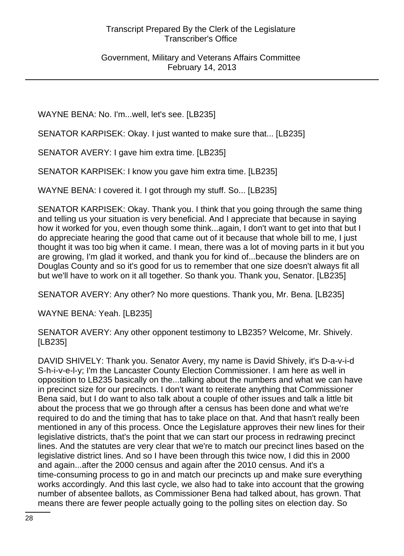WAYNE BENA: No. I'm...well, let's see. [LB235]

SENATOR KARPISEK: Okay. I just wanted to make sure that... [LB235]

SENATOR AVERY: I gave him extra time. [LB235]

SENATOR KARPISEK: I know you gave him extra time. [LB235]

WAYNE BENA: I covered it. I got through my stuff. So... [LB235]

SENATOR KARPISEK: Okay. Thank you. I think that you going through the same thing and telling us your situation is very beneficial. And I appreciate that because in saying how it worked for you, even though some think...again, I don't want to get into that but I do appreciate hearing the good that came out of it because that whole bill to me, I just thought it was too big when it came. I mean, there was a lot of moving parts in it but you are growing, I'm glad it worked, and thank you for kind of...because the blinders are on Douglas County and so it's good for us to remember that one size doesn't always fit all but we'll have to work on it all together. So thank you. Thank you, Senator. [LB235]

SENATOR AVERY: Any other? No more questions. Thank you, Mr. Bena. [LB235]

WAYNE BENA: Yeah. [LB235]

SENATOR AVERY: Any other opponent testimony to LB235? Welcome, Mr. Shively. [LB235]

DAVID SHIVELY: Thank you. Senator Avery, my name is David Shively, it's D-a-v-i-d S-h-i-v-e-l-y; I'm the Lancaster County Election Commissioner. I am here as well in opposition to LB235 basically on the...talking about the numbers and what we can have in precinct size for our precincts. I don't want to reiterate anything that Commissioner Bena said, but I do want to also talk about a couple of other issues and talk a little bit about the process that we go through after a census has been done and what we're required to do and the timing that has to take place on that. And that hasn't really been mentioned in any of this process. Once the Legislature approves their new lines for their legislative districts, that's the point that we can start our process in redrawing precinct lines. And the statutes are very clear that we're to match our precinct lines based on the legislative district lines. And so I have been through this twice now, I did this in 2000 and again...after the 2000 census and again after the 2010 census. And it's a time-consuming process to go in and match our precincts up and make sure everything works accordingly. And this last cycle, we also had to take into account that the growing number of absentee ballots, as Commissioner Bena had talked about, has grown. That means there are fewer people actually going to the polling sites on election day. So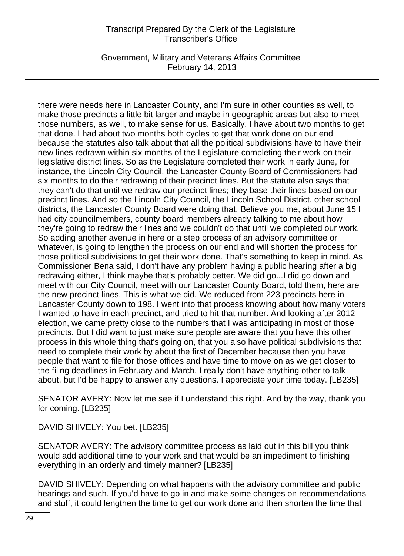Government, Military and Veterans Affairs Committee February 14, 2013

there were needs here in Lancaster County, and I'm sure in other counties as well, to make those precincts a little bit larger and maybe in geographic areas but also to meet those numbers, as well, to make sense for us. Basically, I have about two months to get that done. I had about two months both cycles to get that work done on our end because the statutes also talk about that all the political subdivisions have to have their new lines redrawn within six months of the Legislature completing their work on their legislative district lines. So as the Legislature completed their work in early June, for instance, the Lincoln City Council, the Lancaster County Board of Commissioners had six months to do their redrawing of their precinct lines. But the statute also says that they can't do that until we redraw our precinct lines; they base their lines based on our precinct lines. And so the Lincoln City Council, the Lincoln School District, other school districts, the Lancaster County Board were doing that. Believe you me, about June 15 I had city councilmembers, county board members already talking to me about how they're going to redraw their lines and we couldn't do that until we completed our work. So adding another avenue in here or a step process of an advisory committee or whatever, is going to lengthen the process on our end and will shorten the process for those political subdivisions to get their work done. That's something to keep in mind. As Commissioner Bena said, I don't have any problem having a public hearing after a big redrawing either, I think maybe that's probably better. We did go...I did go down and meet with our City Council, meet with our Lancaster County Board, told them, here are the new precinct lines. This is what we did. We reduced from 223 precincts here in Lancaster County down to 198. I went into that process knowing about how many voters I wanted to have in each precinct, and tried to hit that number. And looking after 2012 election, we came pretty close to the numbers that I was anticipating in most of those precincts. But I did want to just make sure people are aware that you have this other process in this whole thing that's going on, that you also have political subdivisions that need to complete their work by about the first of December because then you have people that want to file for those offices and have time to move on as we get closer to the filing deadlines in February and March. I really don't have anything other to talk about, but I'd be happy to answer any questions. I appreciate your time today. [LB235]

SENATOR AVERY: Now let me see if I understand this right. And by the way, thank you for coming. [LB235]

DAVID SHIVELY: You bet. [LB235]

SENATOR AVERY: The advisory committee process as laid out in this bill you think would add additional time to your work and that would be an impediment to finishing everything in an orderly and timely manner? [LB235]

DAVID SHIVELY: Depending on what happens with the advisory committee and public hearings and such. If you'd have to go in and make some changes on recommendations and stuff, it could lengthen the time to get our work done and then shorten the time that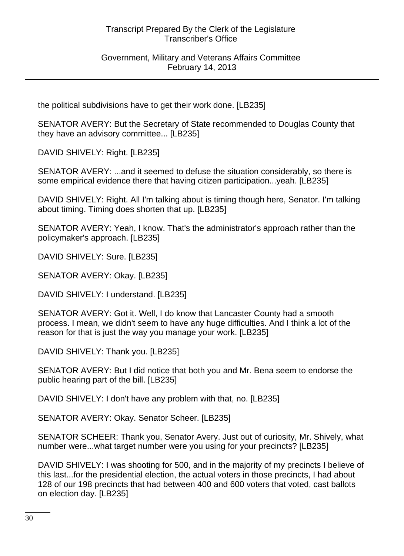#### Government, Military and Veterans Affairs Committee February 14, 2013

the political subdivisions have to get their work done. [LB235]

SENATOR AVERY: But the Secretary of State recommended to Douglas County that they have an advisory committee... [LB235]

DAVID SHIVELY: Right. [LB235]

SENATOR AVERY: ...and it seemed to defuse the situation considerably, so there is some empirical evidence there that having citizen participation...yeah. [LB235]

DAVID SHIVELY: Right. All I'm talking about is timing though here, Senator. I'm talking about timing. Timing does shorten that up. [LB235]

SENATOR AVERY: Yeah, I know. That's the administrator's approach rather than the policymaker's approach. [LB235]

DAVID SHIVELY: Sure. [LB235]

SENATOR AVERY: Okay. [LB235]

DAVID SHIVELY: I understand. [LB235]

SENATOR AVERY: Got it. Well, I do know that Lancaster County had a smooth process. I mean, we didn't seem to have any huge difficulties. And I think a lot of the reason for that is just the way you manage your work. [LB235]

DAVID SHIVELY: Thank you. [LB235]

SENATOR AVERY: But I did notice that both you and Mr. Bena seem to endorse the public hearing part of the bill. [LB235]

DAVID SHIVELY: I don't have any problem with that, no. [LB235]

SENATOR AVERY: Okay. Senator Scheer. [LB235]

SENATOR SCHEER: Thank you, Senator Avery. Just out of curiosity, Mr. Shively, what number were...what target number were you using for your precincts? [LB235]

DAVID SHIVELY: I was shooting for 500, and in the majority of my precincts I believe of this last...for the presidential election, the actual voters in those precincts, I had about 128 of our 198 precincts that had between 400 and 600 voters that voted, cast ballots on election day. [LB235]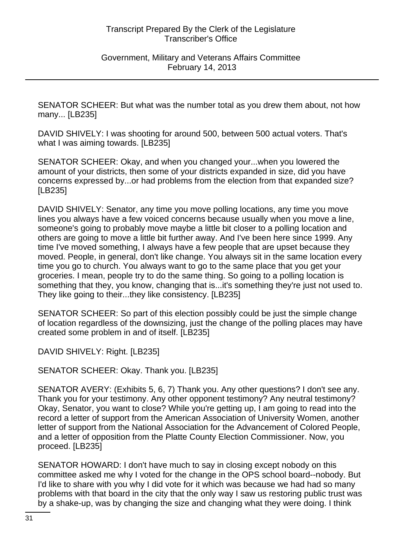SENATOR SCHEER: But what was the number total as you drew them about, not how many... [LB235]

DAVID SHIVELY: I was shooting for around 500, between 500 actual voters. That's what I was aiming towards. [LB235]

SENATOR SCHEER: Okay, and when you changed your...when you lowered the amount of your districts, then some of your districts expanded in size, did you have concerns expressed by...or had problems from the election from that expanded size? [LB235]

DAVID SHIVELY: Senator, any time you move polling locations, any time you move lines you always have a few voiced concerns because usually when you move a line, someone's going to probably move maybe a little bit closer to a polling location and others are going to move a little bit further away. And I've been here since 1999. Any time I've moved something, I always have a few people that are upset because they moved. People, in general, don't like change. You always sit in the same location every time you go to church. You always want to go to the same place that you get your groceries. I mean, people try to do the same thing. So going to a polling location is something that they, you know, changing that is...it's something they're just not used to. They like going to their...they like consistency. [LB235]

SENATOR SCHEER: So part of this election possibly could be just the simple change of location regardless of the downsizing, just the change of the polling places may have created some problem in and of itself. [LB235]

DAVID SHIVELY: Right. [LB235]

SENATOR SCHEER: Okay. Thank you. [LB235]

SENATOR AVERY: (Exhibits 5, 6, 7) Thank you. Any other questions? I don't see any. Thank you for your testimony. Any other opponent testimony? Any neutral testimony? Okay, Senator, you want to close? While you're getting up, I am going to read into the record a letter of support from the American Association of University Women, another letter of support from the National Association for the Advancement of Colored People, and a letter of opposition from the Platte County Election Commissioner. Now, you proceed. [LB235]

SENATOR HOWARD: I don't have much to say in closing except nobody on this committee asked me why I voted for the change in the OPS school board--nobody. But I'd like to share with you why I did vote for it which was because we had had so many problems with that board in the city that the only way I saw us restoring public trust was by a shake-up, was by changing the size and changing what they were doing. I think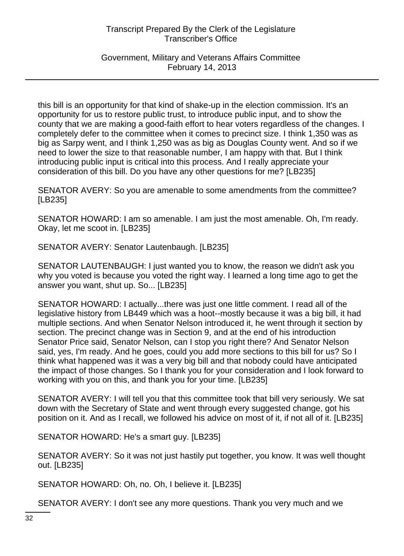Government, Military and Veterans Affairs Committee February 14, 2013

this bill is an opportunity for that kind of shake-up in the election commission. It's an opportunity for us to restore public trust, to introduce public input, and to show the county that we are making a good-faith effort to hear voters regardless of the changes. I completely defer to the committee when it comes to precinct size. I think 1,350 was as big as Sarpy went, and I think 1,250 was as big as Douglas County went. And so if we need to lower the size to that reasonable number, I am happy with that. But I think introducing public input is critical into this process. And I really appreciate your consideration of this bill. Do you have any other questions for me? [LB235]

SENATOR AVERY: So you are amenable to some amendments from the committee? [LB235]

SENATOR HOWARD: I am so amenable. I am just the most amenable. Oh, I'm ready. Okay, let me scoot in. [LB235]

SENATOR AVERY: Senator Lautenbaugh. [LB235]

SENATOR LAUTENBAUGH: I just wanted you to know, the reason we didn't ask you why you voted is because you voted the right way. I learned a long time ago to get the answer you want, shut up. So... [LB235]

SENATOR HOWARD: I actually...there was just one little comment. I read all of the legislative history from LB449 which was a hoot--mostly because it was a big bill, it had multiple sections. And when Senator Nelson introduced it, he went through it section by section. The precinct change was in Section 9, and at the end of his introduction Senator Price said, Senator Nelson, can I stop you right there? And Senator Nelson said, yes, I'm ready. And he goes, could you add more sections to this bill for us? So I think what happened was it was a very big bill and that nobody could have anticipated the impact of those changes. So I thank you for your consideration and I look forward to working with you on this, and thank you for your time. [LB235]

SENATOR AVERY: I will tell you that this committee took that bill very seriously. We sat down with the Secretary of State and went through every suggested change, got his position on it. And as I recall, we followed his advice on most of it, if not all of it. [LB235]

SENATOR HOWARD: He's a smart guy. [LB235]

SENATOR AVERY: So it was not just hastily put together, you know. It was well thought out. [LB235]

SENATOR HOWARD: Oh, no. Oh, I believe it. [LB235]

SENATOR AVERY: I don't see any more questions. Thank you very much and we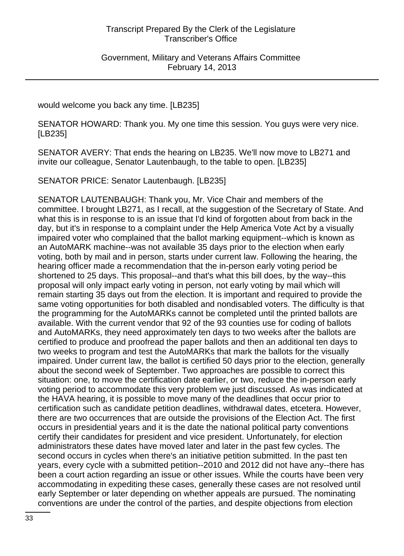would welcome you back any time. [LB235]

SENATOR HOWARD: Thank you. My one time this session. You guys were very nice. [LB235]

SENATOR AVERY: That ends the hearing on LB235. We'll now move to LB271 and invite our colleague, Senator Lautenbaugh, to the table to open. [LB235]

SENATOR PRICE: Senator Lautenbaugh. [LB235]

SENATOR LAUTENBAUGH: Thank you, Mr. Vice Chair and members of the committee. I brought LB271, as I recall, at the suggestion of the Secretary of State. And what this is in response to is an issue that I'd kind of forgotten about from back in the day, but it's in response to a complaint under the Help America Vote Act by a visually impaired voter who complained that the ballot marking equipment--which is known as an AutoMARK machine--was not available 35 days prior to the election when early voting, both by mail and in person, starts under current law. Following the hearing, the hearing officer made a recommendation that the in-person early voting period be shortened to 25 days. This proposal--and that's what this bill does, by the way--this proposal will only impact early voting in person, not early voting by mail which will remain starting 35 days out from the election. It is important and required to provide the same voting opportunities for both disabled and nondisabled voters. The difficulty is that the programming for the AutoMARKs cannot be completed until the printed ballots are available. With the current vendor that 92 of the 93 counties use for coding of ballots and AutoMARKs, they need approximately ten days to two weeks after the ballots are certified to produce and proofread the paper ballots and then an additional ten days to two weeks to program and test the AutoMARKs that mark the ballots for the visually impaired. Under current law, the ballot is certified 50 days prior to the election, generally about the second week of September. Two approaches are possible to correct this situation: one, to move the certification date earlier, or two, reduce the in-person early voting period to accommodate this very problem we just discussed. As was indicated at the HAVA hearing, it is possible to move many of the deadlines that occur prior to certification such as candidate petition deadlines, withdrawal dates, etcetera. However, there are two occurrences that are outside the provisions of the Election Act. The first occurs in presidential years and it is the date the national political party conventions certify their candidates for president and vice president. Unfortunately, for election administrators these dates have moved later and later in the past few cycles. The second occurs in cycles when there's an initiative petition submitted. In the past ten years, every cycle with a submitted petition--2010 and 2012 did not have any--there has been a court action regarding an issue or other issues. While the courts have been very accommodating in expediting these cases, generally these cases are not resolved until early September or later depending on whether appeals are pursued. The nominating conventions are under the control of the parties, and despite objections from election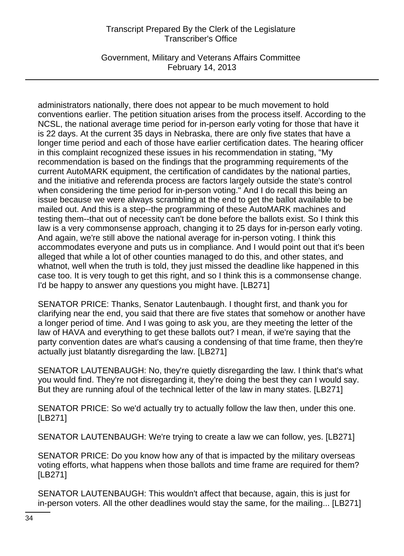Government, Military and Veterans Affairs Committee February 14, 2013

administrators nationally, there does not appear to be much movement to hold conventions earlier. The petition situation arises from the process itself. According to the NCSL, the national average time period for in-person early voting for those that have it is 22 days. At the current 35 days in Nebraska, there are only five states that have a longer time period and each of those have earlier certification dates. The hearing officer in this complaint recognized these issues in his recommendation in stating, "My recommendation is based on the findings that the programming requirements of the current AutoMARK equipment, the certification of candidates by the national parties, and the initiative and referenda process are factors largely outside the state's control when considering the time period for in-person voting." And I do recall this being an issue because we were always scrambling at the end to get the ballot available to be mailed out. And this is a step--the programming of these AutoMARK machines and testing them--that out of necessity can't be done before the ballots exist. So I think this law is a very commonsense approach, changing it to 25 days for in-person early voting. And again, we're still above the national average for in-person voting. I think this accommodates everyone and puts us in compliance. And I would point out that it's been alleged that while a lot of other counties managed to do this, and other states, and whatnot, well when the truth is told, they just missed the deadline like happened in this case too. It is very tough to get this right, and so I think this is a commonsense change. I'd be happy to answer any questions you might have. [LB271]

SENATOR PRICE: Thanks, Senator Lautenbaugh. I thought first, and thank you for clarifying near the end, you said that there are five states that somehow or another have a longer period of time. And I was going to ask you, are they meeting the letter of the law of HAVA and everything to get these ballots out? I mean, if we're saying that the party convention dates are what's causing a condensing of that time frame, then they're actually just blatantly disregarding the law. [LB271]

SENATOR LAUTENBAUGH: No, they're quietly disregarding the law. I think that's what you would find. They're not disregarding it, they're doing the best they can I would say. But they are running afoul of the technical letter of the law in many states. [LB271]

SENATOR PRICE: So we'd actually try to actually follow the law then, under this one. [LB271]

SENATOR LAUTENBAUGH: We're trying to create a law we can follow, yes. [LB271]

SENATOR PRICE: Do you know how any of that is impacted by the military overseas voting efforts, what happens when those ballots and time frame are required for them? [LB271]

SENATOR LAUTENBAUGH: This wouldn't affect that because, again, this is just for in-person voters. All the other deadlines would stay the same, for the mailing... [LB271]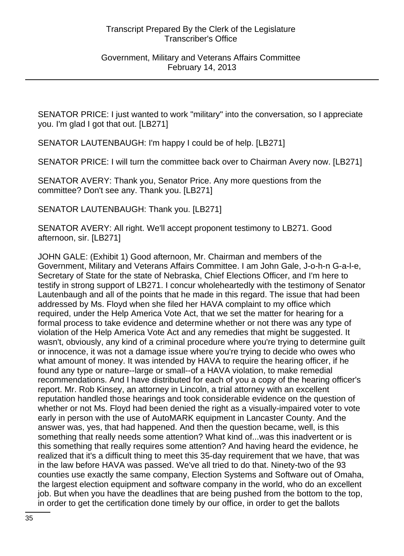SENATOR PRICE: I just wanted to work "military" into the conversation, so I appreciate you. I'm glad I got that out. [LB271]

SENATOR LAUTENBAUGH: I'm happy I could be of help. [LB271]

SENATOR PRICE: I will turn the committee back over to Chairman Avery now. [LB271]

SENATOR AVERY: Thank you, Senator Price. Any more questions from the committee? Don't see any. Thank you. [LB271]

SENATOR LAUTENBAUGH: Thank you. [LB271]

SENATOR AVERY: All right. We'll accept proponent testimony to LB271. Good afternoon, sir. [LB271]

JOHN GALE: (Exhibit 1) Good afternoon, Mr. Chairman and members of the Government, Military and Veterans Affairs Committee. I am John Gale, J-o-h-n G-a-l-e, Secretary of State for the state of Nebraska, Chief Elections Officer, and I'm here to testify in strong support of LB271. I concur wholeheartedly with the testimony of Senator Lautenbaugh and all of the points that he made in this regard. The issue that had been addressed by Ms. Floyd when she filed her HAVA complaint to my office which required, under the Help America Vote Act, that we set the matter for hearing for a formal process to take evidence and determine whether or not there was any type of violation of the Help America Vote Act and any remedies that might be suggested. It wasn't, obviously, any kind of a criminal procedure where you're trying to determine guilt or innocence, it was not a damage issue where you're trying to decide who owes who what amount of money. It was intended by HAVA to require the hearing officer, if he found any type or nature--large or small--of a HAVA violation, to make remedial recommendations. And I have distributed for each of you a copy of the hearing officer's report. Mr. Rob Kinsey, an attorney in Lincoln, a trial attorney with an excellent reputation handled those hearings and took considerable evidence on the question of whether or not Ms. Floyd had been denied the right as a visually-impaired voter to vote early in person with the use of AutoMARK equipment in Lancaster County. And the answer was, yes, that had happened. And then the question became, well, is this something that really needs some attention? What kind of...was this inadvertent or is this something that really requires some attention? And having heard the evidence, he realized that it's a difficult thing to meet this 35-day requirement that we have, that was in the law before HAVA was passed. We've all tried to do that. Ninety-two of the 93 counties use exactly the same company, Election Systems and Software out of Omaha, the largest election equipment and software company in the world, who do an excellent job. But when you have the deadlines that are being pushed from the bottom to the top, in order to get the certification done timely by our office, in order to get the ballots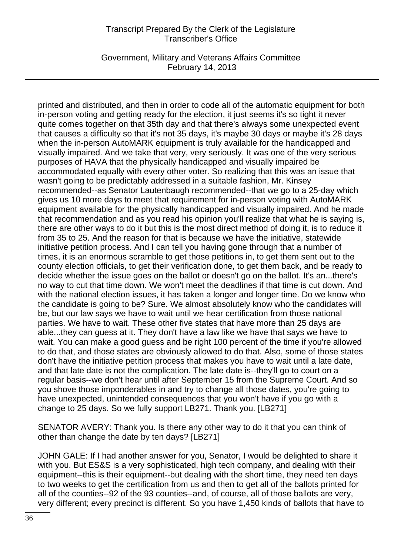Government, Military and Veterans Affairs Committee February 14, 2013

printed and distributed, and then in order to code all of the automatic equipment for both in-person voting and getting ready for the election, it just seems it's so tight it never quite comes together on that 35th day and that there's always some unexpected event that causes a difficulty so that it's not 35 days, it's maybe 30 days or maybe it's 28 days when the in-person AutoMARK equipment is truly available for the handicapped and visually impaired. And we take that very, very seriously. It was one of the very serious purposes of HAVA that the physically handicapped and visually impaired be accommodated equally with every other voter. So realizing that this was an issue that wasn't going to be predictably addressed in a suitable fashion, Mr. Kinsey recommended--as Senator Lautenbaugh recommended--that we go to a 25-day which gives us 10 more days to meet that requirement for in-person voting with AutoMARK equipment available for the physically handicapped and visually impaired. And he made that recommendation and as you read his opinion you'll realize that what he is saying is, there are other ways to do it but this is the most direct method of doing it, is to reduce it from 35 to 25. And the reason for that is because we have the initiative, statewide initiative petition process. And I can tell you having gone through that a number of times, it is an enormous scramble to get those petitions in, to get them sent out to the county election officials, to get their verification done, to get them back, and be ready to decide whether the issue goes on the ballot or doesn't go on the ballot. It's an...there's no way to cut that time down. We won't meet the deadlines if that time is cut down. And with the national election issues, it has taken a longer and longer time. Do we know who the candidate is going to be? Sure. We almost absolutely know who the candidates will be, but our law says we have to wait until we hear certification from those national parties. We have to wait. These other five states that have more than 25 days are able...they can guess at it. They don't have a law like we have that says we have to wait. You can make a good guess and be right 100 percent of the time if you're allowed to do that, and those states are obviously allowed to do that. Also, some of those states don't have the initiative petition process that makes you have to wait until a late date, and that late date is not the complication. The late date is--they'll go to court on a regular basis--we don't hear until after September 15 from the Supreme Court. And so you shove those imponderables in and try to change all those dates, you're going to have unexpected, unintended consequences that you won't have if you go with a change to 25 days. So we fully support LB271. Thank you. [LB271]

SENATOR AVERY: Thank you. Is there any other way to do it that you can think of other than change the date by ten days? [LB271]

JOHN GALE: If I had another answer for you, Senator, I would be delighted to share it with you. But ES&S is a very sophisticated, high tech company, and dealing with their equipment--this is their equipment--but dealing with the short time, they need ten days to two weeks to get the certification from us and then to get all of the ballots printed for all of the counties--92 of the 93 counties--and, of course, all of those ballots are very, very different; every precinct is different. So you have 1,450 kinds of ballots that have to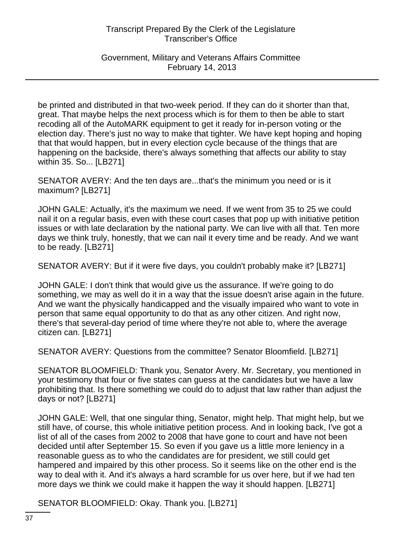Government, Military and Veterans Affairs Committee February 14, 2013

be printed and distributed in that two-week period. If they can do it shorter than that, great. That maybe helps the next process which is for them to then be able to start recoding all of the AutoMARK equipment to get it ready for in-person voting or the election day. There's just no way to make that tighter. We have kept hoping and hoping that that would happen, but in every election cycle because of the things that are happening on the backside, there's always something that affects our ability to stay within 35. So... [LB271]

SENATOR AVERY: And the ten days are...that's the minimum you need or is it maximum? [LB271]

JOHN GALE: Actually, it's the maximum we need. If we went from 35 to 25 we could nail it on a regular basis, even with these court cases that pop up with initiative petition issues or with late declaration by the national party. We can live with all that. Ten more days we think truly, honestly, that we can nail it every time and be ready. And we want to be ready. [LB271]

SENATOR AVERY: But if it were five days, you couldn't probably make it? [LB271]

JOHN GALE: I don't think that would give us the assurance. If we're going to do something, we may as well do it in a way that the issue doesn't arise again in the future. And we want the physically handicapped and the visually impaired who want to vote in person that same equal opportunity to do that as any other citizen. And right now, there's that several-day period of time where they're not able to, where the average citizen can. [LB271]

SENATOR AVERY: Questions from the committee? Senator Bloomfield. [LB271]

SENATOR BLOOMFIELD: Thank you, Senator Avery. Mr. Secretary, you mentioned in your testimony that four or five states can guess at the candidates but we have a law prohibiting that. Is there something we could do to adjust that law rather than adjust the days or not? [LB271]

JOHN GALE: Well, that one singular thing, Senator, might help. That might help, but we still have, of course, this whole initiative petition process. And in looking back, I've got a list of all of the cases from 2002 to 2008 that have gone to court and have not been decided until after September 15. So even if you gave us a little more leniency in a reasonable guess as to who the candidates are for president, we still could get hampered and impaired by this other process. So it seems like on the other end is the way to deal with it. And it's always a hard scramble for us over here, but if we had ten more days we think we could make it happen the way it should happen. [LB271]

SENATOR BLOOMFIELD: Okay. Thank you. [LB271]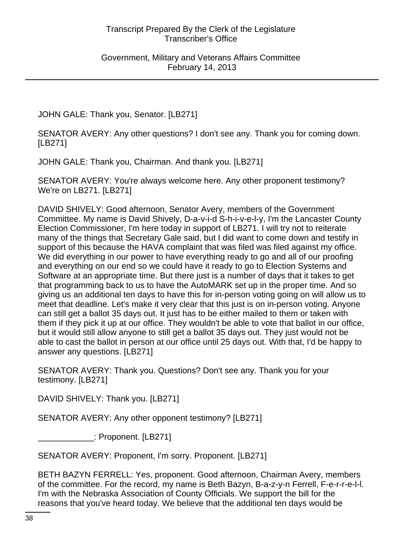JOHN GALE: Thank you, Senator. [LB271]

SENATOR AVERY: Any other questions? I don't see any. Thank you for coming down. [LB271]

JOHN GALE: Thank you, Chairman. And thank you. [LB271]

SENATOR AVERY: You're always welcome here. Any other proponent testimony? We're on LB271. [LB271]

DAVID SHIVELY: Good afternoon, Senator Avery, members of the Government Committee. My name is David Shively, D-a-v-i-d S-h-i-v-e-l-y, I'm the Lancaster County Election Commissioner, I'm here today in support of LB271. I will try not to reiterate many of the things that Secretary Gale said, but I did want to come down and testify in support of this because the HAVA complaint that was filed was filed against my office. We did everything in our power to have everything ready to go and all of our proofing and everything on our end so we could have it ready to go to Election Systems and Software at an appropriate time. But there just is a number of days that it takes to get that programming back to us to have the AutoMARK set up in the proper time. And so giving us an additional ten days to have this for in-person voting going on will allow us to meet that deadline. Let's make it very clear that this just is on in-person voting. Anyone can still get a ballot 35 days out. It just has to be either mailed to them or taken with them if they pick it up at our office. They wouldn't be able to vote that ballot in our office, but it would still allow anyone to still get a ballot 35 days out. They just would not be able to cast the ballot in person at our office until 25 days out. With that, I'd be happy to answer any questions. [LB271]

SENATOR AVERY: Thank you. Questions? Don't see any. Thank you for your testimony. [LB271]

DAVID SHIVELY: Thank you. [LB271]

SENATOR AVERY: Any other opponent testimony? [LB271]

\_\_\_\_\_\_\_\_\_\_\_\_: Proponent. [LB271]

SENATOR AVERY: Proponent, I'm sorry. Proponent. [LB271]

BETH BAZYN FERRELL: Yes, proponent. Good afternoon, Chairman Avery, members of the committee. For the record, my name is Beth Bazyn, B-a-z-y-n Ferrell, F-e-r-r-e-l-l. I'm with the Nebraska Association of County Officials. We support the bill for the reasons that you've heard today. We believe that the additional ten days would be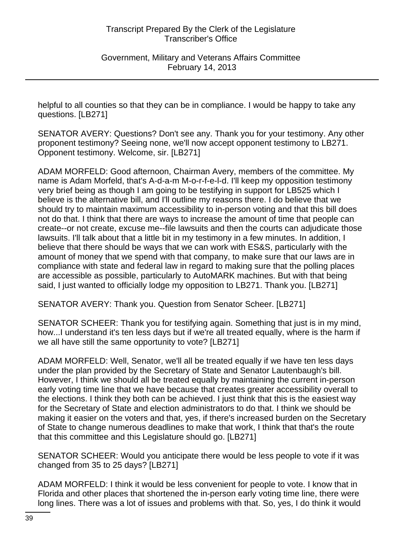helpful to all counties so that they can be in compliance. I would be happy to take any questions. [LB271]

SENATOR AVERY: Questions? Don't see any. Thank you for your testimony. Any other proponent testimony? Seeing none, we'll now accept opponent testimony to LB271. Opponent testimony. Welcome, sir. [LB271]

ADAM MORFELD: Good afternoon, Chairman Avery, members of the committee. My name is Adam Morfeld, that's A-d-a-m M-o-r-f-e-l-d. I'll keep my opposition testimony very brief being as though I am going to be testifying in support for LB525 which I believe is the alternative bill, and I'll outline my reasons there. I do believe that we should try to maintain maximum accessibility to in-person voting and that this bill does not do that. I think that there are ways to increase the amount of time that people can create--or not create, excuse me--file lawsuits and then the courts can adjudicate those lawsuits. I'll talk about that a little bit in my testimony in a few minutes. In addition, I believe that there should be ways that we can work with ES&S, particularly with the amount of money that we spend with that company, to make sure that our laws are in compliance with state and federal law in regard to making sure that the polling places are accessible as possible, particularly to AutoMARK machines. But with that being said, I just wanted to officially lodge my opposition to LB271. Thank you. [LB271]

SENATOR AVERY: Thank you. Question from Senator Scheer. [LB271]

SENATOR SCHEER: Thank you for testifying again. Something that just is in my mind, how...I understand it's ten less days but if we're all treated equally, where is the harm if we all have still the same opportunity to vote? [LB271]

ADAM MORFELD: Well, Senator, we'll all be treated equally if we have ten less days under the plan provided by the Secretary of State and Senator Lautenbaugh's bill. However, I think we should all be treated equally by maintaining the current in-person early voting time line that we have because that creates greater accessibility overall to the elections. I think they both can be achieved. I just think that this is the easiest way for the Secretary of State and election administrators to do that. I think we should be making it easier on the voters and that, yes, if there's increased burden on the Secretary of State to change numerous deadlines to make that work, I think that that's the route that this committee and this Legislature should go. [LB271]

SENATOR SCHEER: Would you anticipate there would be less people to vote if it was changed from 35 to 25 days? [LB271]

ADAM MORFELD: I think it would be less convenient for people to vote. I know that in Florida and other places that shortened the in-person early voting time line, there were long lines. There was a lot of issues and problems with that. So, yes, I do think it would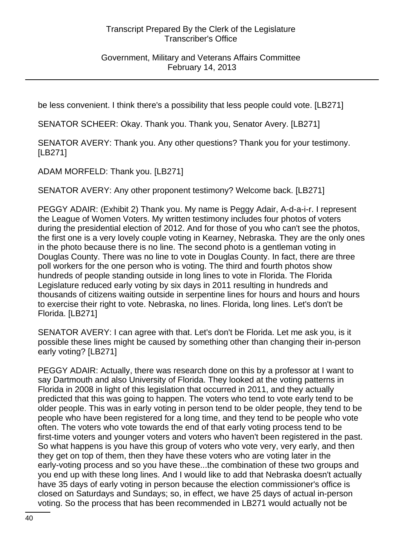Government, Military and Veterans Affairs Committee February 14, 2013

be less convenient. I think there's a possibility that less people could vote. [LB271]

SENATOR SCHEER: Okay. Thank you. Thank you, Senator Avery. [LB271]

SENATOR AVERY: Thank you. Any other questions? Thank you for your testimony. [LB271]

ADAM MORFELD: Thank you. [LB271]

SENATOR AVERY: Any other proponent testimony? Welcome back. [LB271]

PEGGY ADAIR: (Exhibit 2) Thank you. My name is Peggy Adair, A-d-a-i-r. I represent the League of Women Voters. My written testimony includes four photos of voters during the presidential election of 2012. And for those of you who can't see the photos, the first one is a very lovely couple voting in Kearney, Nebraska. They are the only ones in the photo because there is no line. The second photo is a gentleman voting in Douglas County. There was no line to vote in Douglas County. In fact, there are three poll workers for the one person who is voting. The third and fourth photos show hundreds of people standing outside in long lines to vote in Florida. The Florida Legislature reduced early voting by six days in 2011 resulting in hundreds and thousands of citizens waiting outside in serpentine lines for hours and hours and hours to exercise their right to vote. Nebraska, no lines. Florida, long lines. Let's don't be Florida. [LB271]

SENATOR AVERY: I can agree with that. Let's don't be Florida. Let me ask you, is it possible these lines might be caused by something other than changing their in-person early voting? [LB271]

PEGGY ADAIR: Actually, there was research done on this by a professor at I want to say Dartmouth and also University of Florida. They looked at the voting patterns in Florida in 2008 in light of this legislation that occurred in 2011, and they actually predicted that this was going to happen. The voters who tend to vote early tend to be older people. This was in early voting in person tend to be older people, they tend to be people who have been registered for a long time, and they tend to be people who vote often. The voters who vote towards the end of that early voting process tend to be first-time voters and younger voters and voters who haven't been registered in the past. So what happens is you have this group of voters who vote very, very early, and then they get on top of them, then they have these voters who are voting later in the early-voting process and so you have these...the combination of these two groups and you end up with these long lines. And I would like to add that Nebraska doesn't actually have 35 days of early voting in person because the election commissioner's office is closed on Saturdays and Sundays; so, in effect, we have 25 days of actual in-person voting. So the process that has been recommended in LB271 would actually not be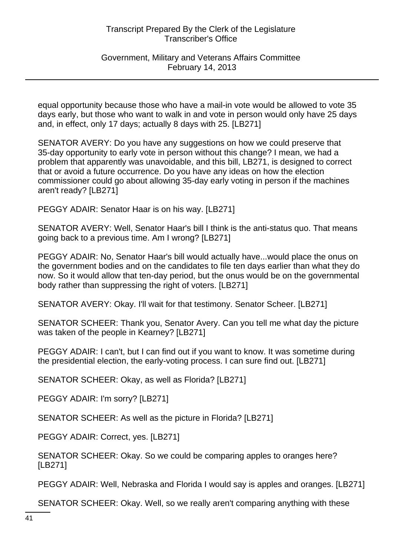Government, Military and Veterans Affairs Committee February 14, 2013

equal opportunity because those who have a mail-in vote would be allowed to vote 35 days early, but those who want to walk in and vote in person would only have 25 days and, in effect, only 17 days; actually 8 days with 25. [LB271]

SENATOR AVERY: Do you have any suggestions on how we could preserve that 35-day opportunity to early vote in person without this change? I mean, we had a problem that apparently was unavoidable, and this bill, LB271, is designed to correct that or avoid a future occurrence. Do you have any ideas on how the election commissioner could go about allowing 35-day early voting in person if the machines aren't ready? [LB271]

PEGGY ADAIR: Senator Haar is on his way. [LB271]

SENATOR AVERY: Well, Senator Haar's bill I think is the anti-status quo. That means going back to a previous time. Am I wrong? [LB271]

PEGGY ADAIR: No, Senator Haar's bill would actually have...would place the onus on the government bodies and on the candidates to file ten days earlier than what they do now. So it would allow that ten-day period, but the onus would be on the governmental body rather than suppressing the right of voters. [LB271]

SENATOR AVERY: Okay. I'll wait for that testimony. Senator Scheer. [LB271]

SENATOR SCHEER: Thank you, Senator Avery. Can you tell me what day the picture was taken of the people in Kearney? [LB271]

PEGGY ADAIR: I can't, but I can find out if you want to know. It was sometime during the presidential election, the early-voting process. I can sure find out. [LB271]

SENATOR SCHEER: Okay, as well as Florida? [LB271]

PEGGY ADAIR: I'm sorry? [LB271]

SENATOR SCHEER: As well as the picture in Florida? [LB271]

PEGGY ADAIR: Correct, yes. [LB271]

SENATOR SCHEER: Okay. So we could be comparing apples to oranges here? [LB271]

PEGGY ADAIR: Well, Nebraska and Florida I would say is apples and oranges. [LB271]

SENATOR SCHEER: Okay. Well, so we really aren't comparing anything with these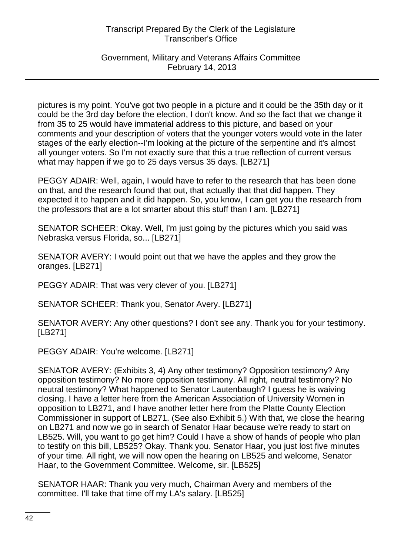# Government, Military and Veterans Affairs Committee February 14, 2013

pictures is my point. You've got two people in a picture and it could be the 35th day or it could be the 3rd day before the election, I don't know. And so the fact that we change it from 35 to 25 would have immaterial address to this picture, and based on your comments and your description of voters that the younger voters would vote in the later stages of the early election--I'm looking at the picture of the serpentine and it's almost all younger voters. So I'm not exactly sure that this a true reflection of current versus what may happen if we go to 25 days versus 35 days. [LB271]

PEGGY ADAIR: Well, again, I would have to refer to the research that has been done on that, and the research found that out, that actually that that did happen. They expected it to happen and it did happen. So, you know, I can get you the research from the professors that are a lot smarter about this stuff than I am. [LB271]

SENATOR SCHEER: Okay. Well, I'm just going by the pictures which you said was Nebraska versus Florida, so... [LB271]

SENATOR AVERY: I would point out that we have the apples and they grow the oranges. [LB271]

PEGGY ADAIR: That was very clever of you. [LB271]

SENATOR SCHEER: Thank you, Senator Avery. [LB271]

SENATOR AVERY: Any other questions? I don't see any. Thank you for your testimony. [LB271]

PEGGY ADAIR: You're welcome. [LB271]

SENATOR AVERY: (Exhibits 3, 4) Any other testimony? Opposition testimony? Any opposition testimony? No more opposition testimony. All right, neutral testimony? No neutral testimony? What happened to Senator Lautenbaugh? I guess he is waiving closing. I have a letter here from the American Association of University Women in opposition to LB271, and I have another letter here from the Platte County Election Commissioner in support of LB271. (See also Exhibit 5.) With that, we close the hearing on LB271 and now we go in search of Senator Haar because we're ready to start on LB525. Will, you want to go get him? Could I have a show of hands of people who plan to testify on this bill, LB525? Okay. Thank you. Senator Haar, you just lost five minutes of your time. All right, we will now open the hearing on LB525 and welcome, Senator Haar, to the Government Committee. Welcome, sir. [LB525]

SENATOR HAAR: Thank you very much, Chairman Avery and members of the committee. I'll take that time off my LA's salary. [LB525]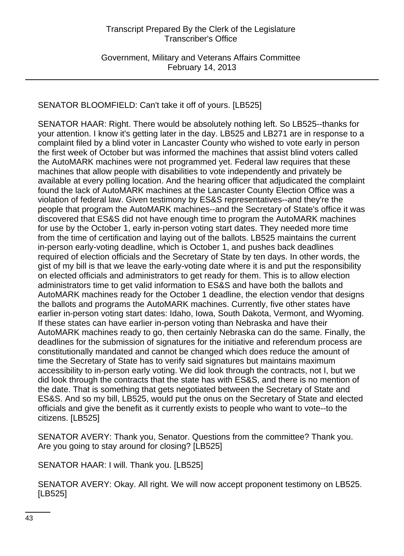# SENATOR BLOOMFIELD: Can't take it off of yours. [LB525]

SENATOR HAAR: Right. There would be absolutely nothing left. So LB525--thanks for your attention. I know it's getting later in the day. LB525 and LB271 are in response to a complaint filed by a blind voter in Lancaster County who wished to vote early in person the first week of October but was informed the machines that assist blind voters called the AutoMARK machines were not programmed yet. Federal law requires that these machines that allow people with disabilities to vote independently and privately be available at every polling location. And the hearing officer that adjudicated the complaint found the lack of AutoMARK machines at the Lancaster County Election Office was a violation of federal law. Given testimony by ES&S representatives--and they're the people that program the AutoMARK machines--and the Secretary of State's office it was discovered that ES&S did not have enough time to program the AutoMARK machines for use by the October 1, early in-person voting start dates. They needed more time from the time of certification and laying out of the ballots. LB525 maintains the current in-person early-voting deadline, which is October 1, and pushes back deadlines required of election officials and the Secretary of State by ten days. In other words, the gist of my bill is that we leave the early-voting date where it is and put the responsibility on elected officials and administrators to get ready for them. This is to allow election administrators time to get valid information to ES&S and have both the ballots and AutoMARK machines ready for the October 1 deadline, the election vendor that designs the ballots and programs the AutoMARK machines. Currently, five other states have earlier in-person voting start dates: Idaho, Iowa, South Dakota, Vermont, and Wyoming. If these states can have earlier in-person voting than Nebraska and have their AutoMARK machines ready to go, then certainly Nebraska can do the same. Finally, the deadlines for the submission of signatures for the initiative and referendum process are constitutionally mandated and cannot be changed which does reduce the amount of time the Secretary of State has to verify said signatures but maintains maximum accessibility to in-person early voting. We did look through the contracts, not I, but we did look through the contracts that the state has with ES&S, and there is no mention of the date. That is something that gets negotiated between the Secretary of State and ES&S. And so my bill, LB525, would put the onus on the Secretary of State and elected officials and give the benefit as it currently exists to people who want to vote--to the citizens. [LB525]

SENATOR AVERY: Thank you, Senator. Questions from the committee? Thank you. Are you going to stay around for closing? [LB525]

SENATOR HAAR: I will. Thank you. [LB525]

SENATOR AVERY: Okay. All right. We will now accept proponent testimony on LB525. [LB525]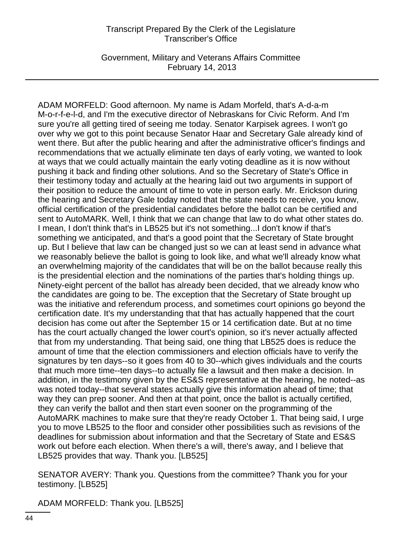Government, Military and Veterans Affairs Committee February 14, 2013

ADAM MORFELD: Good afternoon. My name is Adam Morfeld, that's A-d-a-m M-o-r-f-e-l-d, and I'm the executive director of Nebraskans for Civic Reform. And I'm sure you're all getting tired of seeing me today. Senator Karpisek agrees. I won't go over why we got to this point because Senator Haar and Secretary Gale already kind of went there. But after the public hearing and after the administrative officer's findings and recommendations that we actually eliminate ten days of early voting, we wanted to look at ways that we could actually maintain the early voting deadline as it is now without pushing it back and finding other solutions. And so the Secretary of State's Office in their testimony today and actually at the hearing laid out two arguments in support of their position to reduce the amount of time to vote in person early. Mr. Erickson during the hearing and Secretary Gale today noted that the state needs to receive, you know, official certification of the presidential candidates before the ballot can be certified and sent to AutoMARK. Well, I think that we can change that law to do what other states do. I mean, I don't think that's in LB525 but it's not something...I don't know if that's something we anticipated, and that's a good point that the Secretary of State brought up. But I believe that law can be changed just so we can at least send in advance what we reasonably believe the ballot is going to look like, and what we'll already know what an overwhelming majority of the candidates that will be on the ballot because really this is the presidential election and the nominations of the parties that's holding things up. Ninety-eight percent of the ballot has already been decided, that we already know who the candidates are going to be. The exception that the Secretary of State brought up was the initiative and referendum process, and sometimes court opinions go beyond the certification date. It's my understanding that that has actually happened that the court decision has come out after the September 15 or 14 certification date. But at no time has the court actually changed the lower court's opinion, so it's never actually affected that from my understanding. That being said, one thing that LB525 does is reduce the amount of time that the election commissioners and election officials have to verify the signatures by ten days--so it goes from 40 to 30--which gives individuals and the courts that much more time--ten days--to actually file a lawsuit and then make a decision. In addition, in the testimony given by the ES&S representative at the hearing, he noted--as was noted today--that several states actually give this information ahead of time; that way they can prep sooner. And then at that point, once the ballot is actually certified, they can verify the ballot and then start even sooner on the programming of the AutoMARK machines to make sure that they're ready October 1. That being said, I urge you to move LB525 to the floor and consider other possibilities such as revisions of the deadlines for submission about information and that the Secretary of State and ES&S work out before each election. When there's a will, there's away, and I believe that LB525 provides that way. Thank you. [LB525]

SENATOR AVERY: Thank you. Questions from the committee? Thank you for your testimony. [LB525]

ADAM MORFELD: Thank you. [LB525]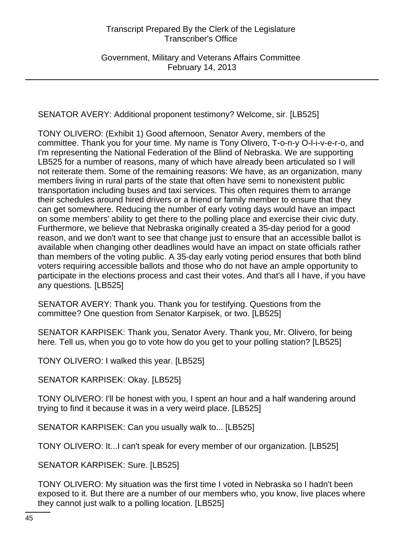Government, Military and Veterans Affairs Committee February 14, 2013

SENATOR AVERY: Additional proponent testimony? Welcome, sir. [LB525]

TONY OLIVERO: (Exhibit 1) Good afternoon, Senator Avery, members of the committee. Thank you for your time. My name is Tony Olivero, T-o-n-y O-l-i-v-e-r-o, and I'm representing the National Federation of the Blind of Nebraska. We are supporting LB525 for a number of reasons, many of which have already been articulated so I will not reiterate them. Some of the remaining reasons: We have, as an organization, many members living in rural parts of the state that often have semi to nonexistent public transportation including buses and taxi services. This often requires them to arrange their schedules around hired drivers or a friend or family member to ensure that they can get somewhere. Reducing the number of early voting days would have an impact on some members' ability to get there to the polling place and exercise their civic duty. Furthermore, we believe that Nebraska originally created a 35-day period for a good reason, and we don't want to see that change just to ensure that an accessible ballot is available when changing other deadlines would have an impact on state officials rather than members of the voting public. A 35-day early voting period ensures that both blind voters requiring accessible ballots and those who do not have an ample opportunity to participate in the elections process and cast their votes. And that's all I have, if you have any questions. [LB525]

SENATOR AVERY: Thank you. Thank you for testifying. Questions from the committee? One question from Senator Karpisek, or two. [LB525]

SENATOR KARPISEK: Thank you, Senator Avery. Thank you, Mr. Olivero, for being here. Tell us, when you go to vote how do you get to your polling station? [LB525]

TONY OLIVERO: I walked this year. [LB525]

SENATOR KARPISEK: Okay. [LB525]

TONY OLIVERO: I'll be honest with you, I spent an hour and a half wandering around trying to find it because it was in a very weird place. [LB525]

SENATOR KARPISEK: Can you usually walk to... [LB525]

TONY OLIVERO: It...I can't speak for every member of our organization. [LB525]

SENATOR KARPISEK: Sure. [LB525]

TONY OLIVERO: My situation was the first time I voted in Nebraska so I hadn't been exposed to it. But there are a number of our members who, you know, live places where they cannot just walk to a polling location. [LB525]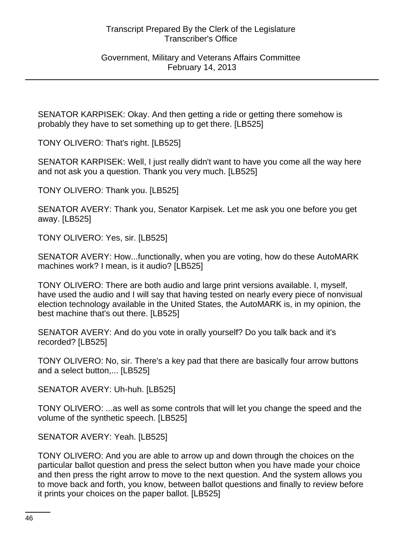SENATOR KARPISEK: Okay. And then getting a ride or getting there somehow is probably they have to set something up to get there. [LB525]

TONY OLIVERO: That's right. [LB525]

SENATOR KARPISEK: Well, I just really didn't want to have you come all the way here and not ask you a question. Thank you very much. [LB525]

TONY OLIVERO: Thank you. [LB525]

SENATOR AVERY: Thank you, Senator Karpisek. Let me ask you one before you get away. [LB525]

TONY OLIVERO: Yes, sir. [LB525]

SENATOR AVERY: How...functionally, when you are voting, how do these AutoMARK machines work? I mean, is it audio? [LB525]

TONY OLIVERO: There are both audio and large print versions available. I, myself, have used the audio and I will say that having tested on nearly every piece of nonvisual election technology available in the United States, the AutoMARK is, in my opinion, the best machine that's out there. [LB525]

SENATOR AVERY: And do you vote in orally yourself? Do you talk back and it's recorded? [LB525]

TONY OLIVERO: No, sir. There's a key pad that there are basically four arrow buttons and a select button,... [LB525]

SENATOR AVERY: Uh-huh. [LB525]

TONY OLIVERO: ...as well as some controls that will let you change the speed and the volume of the synthetic speech. [LB525]

SENATOR AVERY: Yeah. [LB525]

TONY OLIVERO: And you are able to arrow up and down through the choices on the particular ballot question and press the select button when you have made your choice and then press the right arrow to move to the next question. And the system allows you to move back and forth, you know, between ballot questions and finally to review before it prints your choices on the paper ballot. [LB525]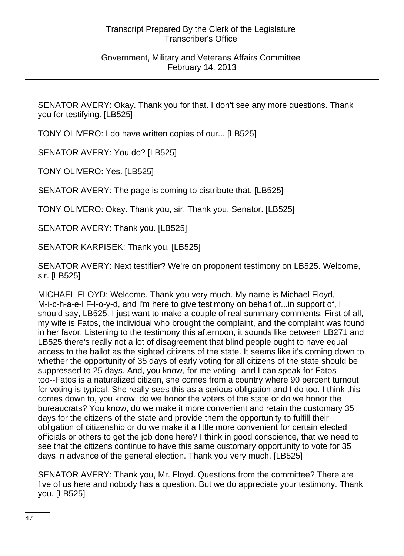SENATOR AVERY: Okay. Thank you for that. I don't see any more questions. Thank you for testifying. [LB525]

TONY OLIVERO: I do have written copies of our... [LB525]

SENATOR AVERY: You do? [LB525]

TONY OLIVERO: Yes. [LB525]

SENATOR AVERY: The page is coming to distribute that. [LB525]

TONY OLIVERO: Okay. Thank you, sir. Thank you, Senator. [LB525]

SENATOR AVERY: Thank you. [LB525]

SENATOR KARPISEK: Thank you. [LB525]

SENATOR AVERY: Next testifier? We're on proponent testimony on LB525. Welcome, sir. [LB525]

MICHAEL FLOYD: Welcome. Thank you very much. My name is Michael Floyd, M-i-c-h-a-e-l F-l-o-y-d, and I'm here to give testimony on behalf of...in support of, I should say, LB525. I just want to make a couple of real summary comments. First of all, my wife is Fatos, the individual who brought the complaint, and the complaint was found in her favor. Listening to the testimony this afternoon, it sounds like between LB271 and LB525 there's really not a lot of disagreement that blind people ought to have equal access to the ballot as the sighted citizens of the state. It seems like it's coming down to whether the opportunity of 35 days of early voting for all citizens of the state should be suppressed to 25 days. And, you know, for me voting--and I can speak for Fatos too--Fatos is a naturalized citizen, she comes from a country where 90 percent turnout for voting is typical. She really sees this as a serious obligation and I do too. I think this comes down to, you know, do we honor the voters of the state or do we honor the bureaucrats? You know, do we make it more convenient and retain the customary 35 days for the citizens of the state and provide them the opportunity to fulfill their obligation of citizenship or do we make it a little more convenient for certain elected officials or others to get the job done here? I think in good conscience, that we need to see that the citizens continue to have this same customary opportunity to vote for 35 days in advance of the general election. Thank you very much. [LB525]

SENATOR AVERY: Thank you, Mr. Floyd. Questions from the committee? There are five of us here and nobody has a question. But we do appreciate your testimony. Thank you. [LB525]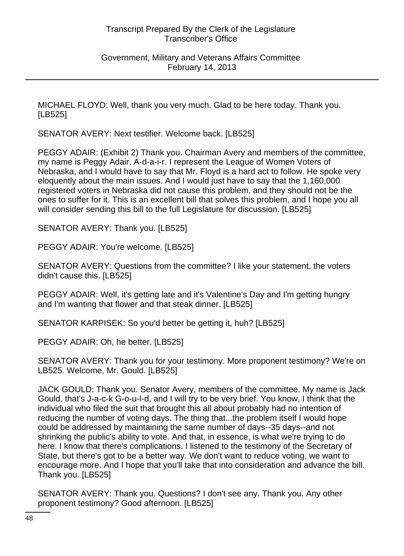Government, Military and Veterans Affairs Committee February 14, 2013

MICHAEL FLOYD: Well, thank you very much. Glad to be here today. Thank you. [LB525]

SENATOR AVERY: Next testifier. Welcome back. [LB525]

PEGGY ADAIR: (Exhibit 2) Thank you. Chairman Avery and members of the committee, my name is Peggy Adair, A-d-a-i-r. I represent the League of Women Voters of Nebraska, and I would have to say that Mr. Floyd is a hard act to follow. He spoke very eloquently about the main issues. And I would just have to say that the 1,160,000 registered voters in Nebraska did not cause this problem, and they should not be the ones to suffer for it. This is an excellent bill that solves this problem, and I hope you all will consider sending this bill to the full Legislature for discussion. [LB525]

SENATOR AVERY: Thank you. [LB525]

PEGGY ADAIR: You're welcome. [LB525]

SENATOR AVERY: Questions from the committee? I like your statement, the voters didn't cause this. [LB525]

PEGGY ADAIR: Well, it's getting late and it's Valentine's Day and I'm getting hungry and I'm wanting that flower and that steak dinner. [LB525]

SENATOR KARPISEK: So you'd better be getting it, huh? [LB525]

PEGGY ADAIR: Oh, he better. [LB525]

SENATOR AVERY: Thank you for your testimony. More proponent testimony? We're on LB525. Welcome, Mr. Gould. [LB525]

JACK GOULD: Thank you. Senator Avery, members of the committee. My name is Jack Gould, that's J-a-c-k G-o-u-l-d, and I will try to be very brief. You know, I think that the individual who filed the suit that brought this all about probably had no intention of reducing the number of voting days. The thing that...the problem itself I would hope could be addressed by maintaining the same number of days--35 days--and not shrinking the public's ability to vote. And that, in essence, is what we're trying to do here. I know that there's complications. I listened to the testimony of the Secretary of State, but there's got to be a better way. We don't want to reduce voting, we want to encourage more. And I hope that you'll take that into consideration and advance the bill. Thank you. [LB525]

SENATOR AVERY: Thank you. Questions? I don't see any. Thank you. Any other proponent testimony? Good afternoon. [LB525]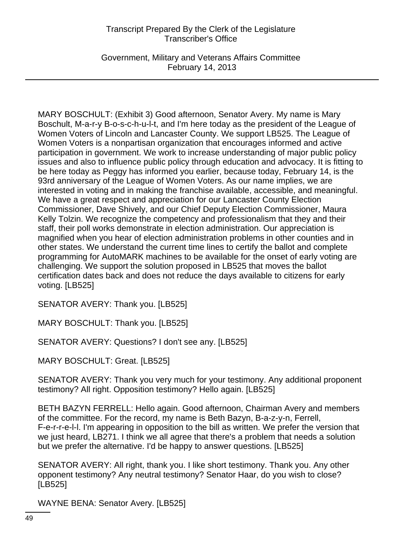Government, Military and Veterans Affairs Committee February 14, 2013

MARY BOSCHULT: (Exhibit 3) Good afternoon, Senator Avery. My name is Mary Boschult, M-a-r-y B-o-s-c-h-u-l-t, and I'm here today as the president of the League of Women Voters of Lincoln and Lancaster County. We support LB525. The League of Women Voters is a nonpartisan organization that encourages informed and active participation in government. We work to increase understanding of major public policy issues and also to influence public policy through education and advocacy. It is fitting to be here today as Peggy has informed you earlier, because today, February 14, is the 93rd anniversary of the League of Women Voters. As our name implies, we are interested in voting and in making the franchise available, accessible, and meaningful. We have a great respect and appreciation for our Lancaster County Election Commissioner, Dave Shively, and our Chief Deputy Election Commissioner, Maura Kelly Tolzin. We recognize the competency and professionalism that they and their staff, their poll works demonstrate in election administration. Our appreciation is magnified when you hear of election administration problems in other counties and in other states. We understand the current time lines to certify the ballot and complete programming for AutoMARK machines to be available for the onset of early voting are challenging. We support the solution proposed in LB525 that moves the ballot certification dates back and does not reduce the days available to citizens for early voting. [LB525]

SENATOR AVERY: Thank you. [LB525]

MARY BOSCHULT: Thank you. [LB525]

SENATOR AVERY: Questions? I don't see any. [LB525]

MARY BOSCHULT: Great. [LB525]

SENATOR AVERY: Thank you very much for your testimony. Any additional proponent testimony? All right. Opposition testimony? Hello again. [LB525]

BETH BAZYN FERRELL: Hello again. Good afternoon, Chairman Avery and members of the committee. For the record, my name is Beth Bazyn, B-a-z-y-n, Ferrell, F-e-r-r-e-l-l. I'm appearing in opposition to the bill as written. We prefer the version that we just heard, LB271. I think we all agree that there's a problem that needs a solution but we prefer the alternative. I'd be happy to answer questions. [LB525]

SENATOR AVERY: All right, thank you. I like short testimony. Thank you. Any other opponent testimony? Any neutral testimony? Senator Haar, do you wish to close? [LB525]

WAYNE BENA: Senator Avery. [LB525]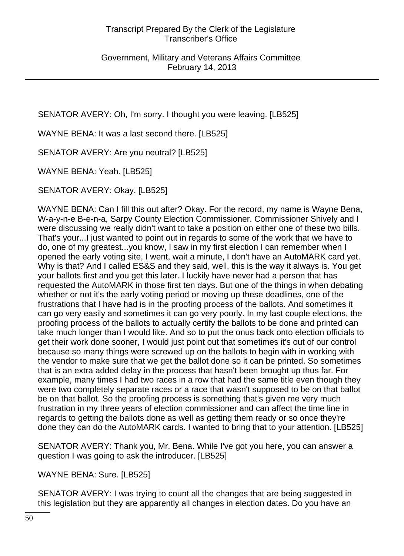SENATOR AVERY: Oh, I'm sorry. I thought you were leaving. [LB525]

WAYNE BENA: It was a last second there. [LB525]

SENATOR AVERY: Are you neutral? [LB525]

WAYNE BENA: Yeah. [LB525]

SENATOR AVERY: Okay. [LB525]

WAYNE BENA: Can I fill this out after? Okay. For the record, my name is Wayne Bena, W-a-y-n-e B-e-n-a, Sarpy County Election Commissioner. Commissioner Shively and I were discussing we really didn't want to take a position on either one of these two bills. That's your...I just wanted to point out in regards to some of the work that we have to do, one of my greatest...you know, I saw in my first election I can remember when I opened the early voting site, I went, wait a minute, I don't have an AutoMARK card yet. Why is that? And I called ES&S and they said, well, this is the way it always is. You get your ballots first and you get this later. I luckily have never had a person that has requested the AutoMARK in those first ten days. But one of the things in when debating whether or not it's the early voting period or moving up these deadlines, one of the frustrations that I have had is in the proofing process of the ballots. And sometimes it can go very easily and sometimes it can go very poorly. In my last couple elections, the proofing process of the ballots to actually certify the ballots to be done and printed can take much longer than I would like. And so to put the onus back onto election officials to get their work done sooner, I would just point out that sometimes it's out of our control because so many things were screwed up on the ballots to begin with in working with the vendor to make sure that we get the ballot done so it can be printed. So sometimes that is an extra added delay in the process that hasn't been brought up thus far. For example, many times I had two races in a row that had the same title even though they were two completely separate races or a race that wasn't supposed to be on that ballot be on that ballot. So the proofing process is something that's given me very much frustration in my three years of election commissioner and can affect the time line in regards to getting the ballots done as well as getting them ready or so once they're done they can do the AutoMARK cards. I wanted to bring that to your attention. [LB525]

SENATOR AVERY: Thank you, Mr. Bena. While I've got you here, you can answer a question I was going to ask the introducer. [LB525]

WAYNE BENA: Sure. [LB525]

SENATOR AVERY: I was trying to count all the changes that are being suggested in this legislation but they are apparently all changes in election dates. Do you have an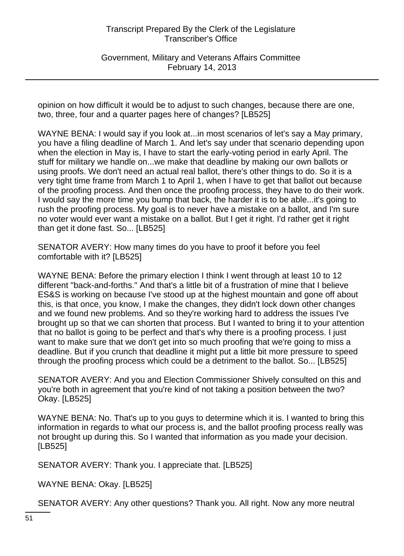Government, Military and Veterans Affairs Committee February 14, 2013

opinion on how difficult it would be to adjust to such changes, because there are one, two, three, four and a quarter pages here of changes? [LB525]

WAYNE BENA: I would say if you look at...in most scenarios of let's say a May primary, you have a filing deadline of March 1. And let's say under that scenario depending upon when the election in May is, I have to start the early-voting period in early April. The stuff for military we handle on...we make that deadline by making our own ballots or using proofs. We don't need an actual real ballot, there's other things to do. So it is a very tight time frame from March 1 to April 1, when I have to get that ballot out because of the proofing process. And then once the proofing process, they have to do their work. I would say the more time you bump that back, the harder it is to be able...it's going to rush the proofing process. My goal is to never have a mistake on a ballot, and I'm sure no voter would ever want a mistake on a ballot. But I get it right. I'd rather get it right than get it done fast. So... [LB525]

SENATOR AVERY: How many times do you have to proof it before you feel comfortable with it? [LB525]

WAYNE BENA: Before the primary election I think I went through at least 10 to 12 different "back-and-forths." And that's a little bit of a frustration of mine that I believe ES&S is working on because I've stood up at the highest mountain and gone off about this, is that once, you know, I make the changes, they didn't lock down other changes and we found new problems. And so they're working hard to address the issues I've brought up so that we can shorten that process. But I wanted to bring it to your attention that no ballot is going to be perfect and that's why there is a proofing process. I just want to make sure that we don't get into so much proofing that we're going to miss a deadline. But if you crunch that deadline it might put a little bit more pressure to speed through the proofing process which could be a detriment to the ballot. So... [LB525]

SENATOR AVERY: And you and Election Commissioner Shively consulted on this and you're both in agreement that you're kind of not taking a position between the two? Okay. [LB525]

WAYNE BENA: No. That's up to you guys to determine which it is. I wanted to bring this information in regards to what our process is, and the ballot proofing process really was not brought up during this. So I wanted that information as you made your decision. [LB525]

SENATOR AVERY: Thank you. I appreciate that. [LB525]

WAYNE BENA: Okay. [LB525]

SENATOR AVERY: Any other questions? Thank you. All right. Now any more neutral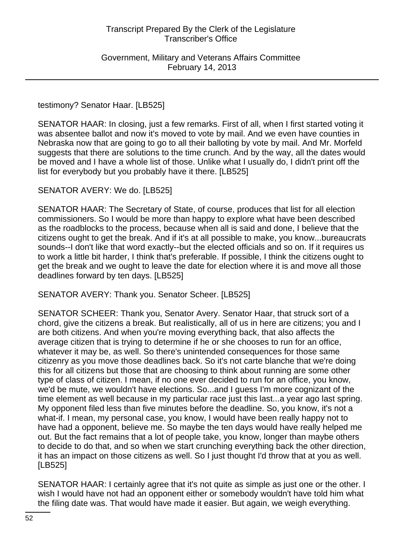#### testimony? Senator Haar. [LB525]

SENATOR HAAR: In closing, just a few remarks. First of all, when I first started voting it was absentee ballot and now it's moved to vote by mail. And we even have counties in Nebraska now that are going to go to all their balloting by vote by mail. And Mr. Morfeld suggests that there are solutions to the time crunch. And by the way, all the dates would be moved and I have a whole list of those. Unlike what I usually do, I didn't print off the list for everybody but you probably have it there. [LB525]

#### SENATOR AVERY: We do. [LB525]

SENATOR HAAR: The Secretary of State, of course, produces that list for all election commissioners. So I would be more than happy to explore what have been described as the roadblocks to the process, because when all is said and done, I believe that the citizens ought to get the break. And if it's at all possible to make, you know...bureaucrats sounds--I don't like that word exactly--but the elected officials and so on. If it requires us to work a little bit harder, I think that's preferable. If possible, I think the citizens ought to get the break and we ought to leave the date for election where it is and move all those deadlines forward by ten days. [LB525]

SENATOR AVERY: Thank you. Senator Scheer. [LB525]

SENATOR SCHEER: Thank you, Senator Avery. Senator Haar, that struck sort of a chord, give the citizens a break. But realistically, all of us in here are citizens; you and I are both citizens. And when you're moving everything back, that also affects the average citizen that is trying to determine if he or she chooses to run for an office, whatever it may be, as well. So there's unintended consequences for those same citizenry as you move those deadlines back. So it's not carte blanche that we're doing this for all citizens but those that are choosing to think about running are some other type of class of citizen. I mean, if no one ever decided to run for an office, you know, we'd be mute, we wouldn't have elections. So...and I guess I'm more cognizant of the time element as well because in my particular race just this last...a year ago last spring. My opponent filed less than five minutes before the deadline. So, you know, it's not a what-if. I mean, my personal case, you know, I would have been really happy not to have had a opponent, believe me. So maybe the ten days would have really helped me out. But the fact remains that a lot of people take, you know, longer than maybe others to decide to do that, and so when we start crunching everything back the other direction, it has an impact on those citizens as well. So I just thought I'd throw that at you as well. [LB525]

SENATOR HAAR: I certainly agree that it's not quite as simple as just one or the other. I wish I would have not had an opponent either or somebody wouldn't have told him what the filing date was. That would have made it easier. But again, we weigh everything.